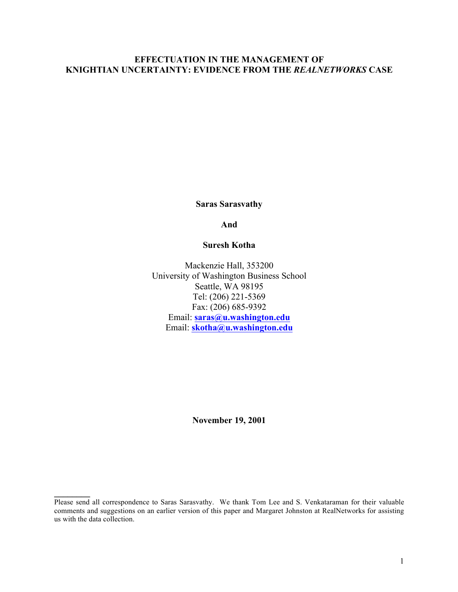## **EFFECTUATION IN THE MANAGEMENT OF KNIGHTIAN UNCERTAINTY: EVIDENCE FROM THE** *REALNETWORKS* **CASE**

#### **Saras Sarasvathy**

**And** 

#### **Suresh Kotha**

Mackenzie Hall, 353200 University of Washington Business School Seattle, WA 98195 Tel: (206) 221-5369 Fax: (206) 685-9392 Email: **saras@u.washington.edu** Email: **skotha@u.washington.edu**

**November 19, 2001**

**\_\_\_\_\_\_\_\_**

Please send all correspondence to Saras Sarasvathy. We thank Tom Lee and S. Venkataraman for their valuable comments and suggestions on an earlier version of this paper and Margaret Johnston at RealNetworks for assisting us with the data collection.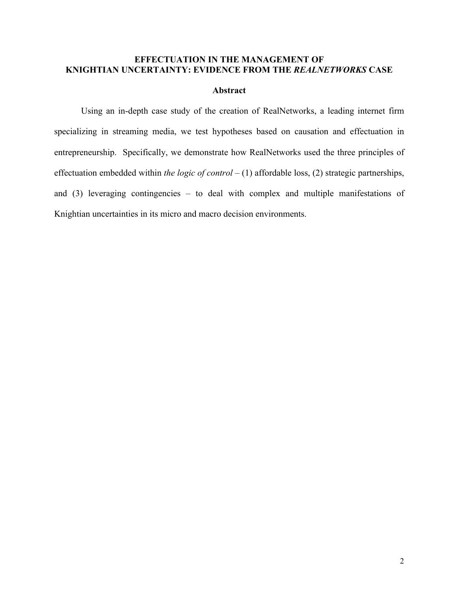## **EFFECTUATION IN THE MANAGEMENT OF KNIGHTIAN UNCERTAINTY: EVIDENCE FROM THE** *REALNETWORKS* **CASE**

## **Abstract**

Using an in-depth case study of the creation of RealNetworks, a leading internet firm specializing in streaming media, we test hypotheses based on causation and effectuation in entrepreneurship. Specifically, we demonstrate how RealNetworks used the three principles of effectuation embedded within *the logic of control* – (1) affordable loss, (2) strategic partnerships, and (3) leveraging contingencies – to deal with complex and multiple manifestations of Knightian uncertainties in its micro and macro decision environments.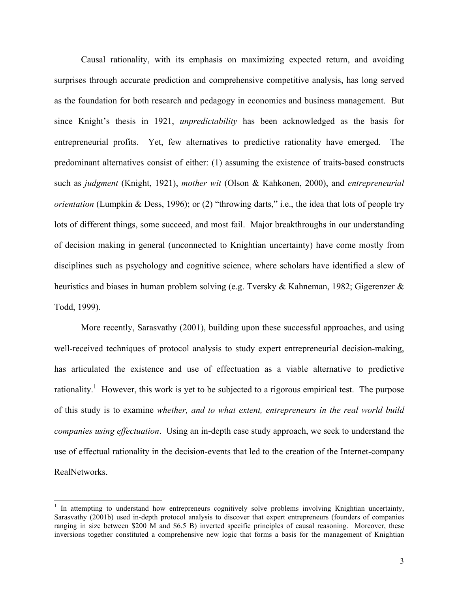Causal rationality, with its emphasis on maximizing expected return, and avoiding surprises through accurate prediction and comprehensive competitive analysis, has long served as the foundation for both research and pedagogy in economics and business management. But since Knight's thesis in 1921, *unpredictability* has been acknowledged as the basis for entrepreneurial profits. Yet, few alternatives to predictive rationality have emerged. The predominant alternatives consist of either: (1) assuming the existence of traits-based constructs such as *judgment* (Knight, 1921), *mother wit* (Olson & Kahkonen, 2000), and *entrepreneurial orientation* (Lumpkin & Dess, 1996); or (2) "throwing darts," i.e., the idea that lots of people try lots of different things, some succeed, and most fail. Major breakthroughs in our understanding of decision making in general (unconnected to Knightian uncertainty) have come mostly from disciplines such as psychology and cognitive science, where scholars have identified a slew of heuristics and biases in human problem solving (e.g. Tversky & Kahneman, 1982; Gigerenzer & Todd, 1999).

More recently, Sarasvathy (2001), building upon these successful approaches, and using well-received techniques of protocol analysis to study expert entrepreneurial decision-making, has articulated the existence and use of effectuation as a viable alternative to predictive rationality.<sup>1</sup> However, this work is yet to be subjected to a rigorous empirical test. The purpose of this study is to examine *whether, and to what extent, entrepreneurs in the real world build companies using effectuation*. Using an in-depth case study approach, we seek to understand the use of effectual rationality in the decision-events that led to the creation of the Internet-company RealNetworks.

<sup>&</sup>lt;sup>1</sup> In attempting to understand how entrepreneurs cognitively solve problems involving Knightian uncertainty, Sarasvathy (2001b) used in-depth protocol analysis to discover that expert entrepreneurs (founders of companies ranging in size between \$200 M and \$6.5 B) inverted specific principles of causal reasoning. Moreover, these inversions together constituted a comprehensive new logic that forms a basis for the management of Knightian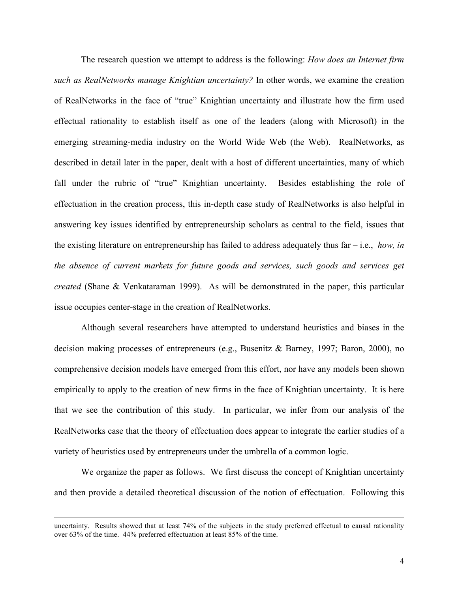The research question we attempt to address is the following: *How does an Internet firm such as RealNetworks manage Knightian uncertainty?* In other words, we examine the creation of RealNetworks in the face of "true" Knightian uncertainty and illustrate how the firm used effectual rationality to establish itself as one of the leaders (along with Microsoft) in the emerging streaming-media industry on the World Wide Web (the Web).RealNetworks, as described in detail later in the paper, dealt with a host of different uncertainties, many of which fall under the rubric of "true" Knightian uncertainty. Besides establishing the role of effectuation in the creation process, this in-depth case study of RealNetworks is also helpful in answering key issues identified by entrepreneurship scholars as central to the field, issues that the existing literature on entrepreneurship has failed to address adequately thus far – i.e., *how, in the absence of current markets for future goods and services, such goods and services get created* (Shane & Venkataraman 1999). As will be demonstrated in the paper, this particular issue occupies center-stage in the creation of RealNetworks.

Although several researchers have attempted to understand heuristics and biases in the decision making processes of entrepreneurs (e.g., Busenitz & Barney, 1997; Baron, 2000), no comprehensive decision models have emerged from this effort, nor have any models been shown empirically to apply to the creation of new firms in the face of Knightian uncertainty. It is here that we see the contribution of this study. In particular, we infer from our analysis of the RealNetworks case that the theory of effectuation does appear to integrate the earlier studies of a variety of heuristics used by entrepreneurs under the umbrella of a common logic.

We organize the paper as follows. We first discuss the concept of Knightian uncertainty and then provide a detailed theoretical discussion of the notion of effectuation. Following this

l

uncertainty. Results showed that at least 74% of the subjects in the study preferred effectual to causal rationality over 63% of the time. 44% preferred effectuation at least 85% of the time.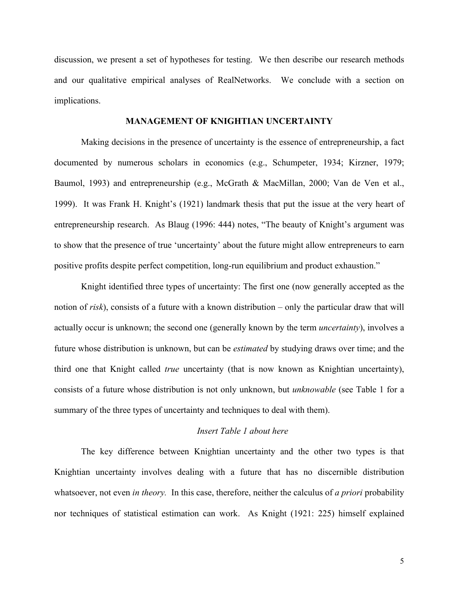discussion, we present a set of hypotheses for testing. We then describe our research methods and our qualitative empirical analyses of RealNetworks. We conclude with a section on implications.

#### **MANAGEMENT OF KNIGHTIAN UNCERTAINTY**

Making decisions in the presence of uncertainty is the essence of entrepreneurship, a fact documented by numerous scholars in economics (e.g., Schumpeter, 1934; Kirzner, 1979; Baumol, 1993) and entrepreneurship (e.g., McGrath & MacMillan, 2000; Van de Ven et al., 1999). It was Frank H. Knight's (1921) landmark thesis that put the issue at the very heart of entrepreneurship research. As Blaug (1996: 444) notes, "The beauty of Knight's argument was to show that the presence of true 'uncertainty' about the future might allow entrepreneurs to earn positive profits despite perfect competition, long-run equilibrium and product exhaustion."

Knight identified three types of uncertainty: The first one (now generally accepted as the notion of *risk*), consists of a future with a known distribution – only the particular draw that will actually occur is unknown; the second one (generally known by the term *uncertainty*), involves a future whose distribution is unknown, but can be *estimated* by studying draws over time; and the third one that Knight called *true* uncertainty (that is now known as Knightian uncertainty), consists of a future whose distribution is not only unknown, but *unknowable* (see Table 1 for a summary of the three types of uncertainty and techniques to deal with them).

#### *Insert Table 1 about here*

The key difference between Knightian uncertainty and the other two types is that Knightian uncertainty involves dealing with a future that has no discernible distribution whatsoever, not even *in theory.* In this case, therefore, neither the calculus of *a priori* probability nor techniques of statistical estimation can work. As Knight (1921: 225) himself explained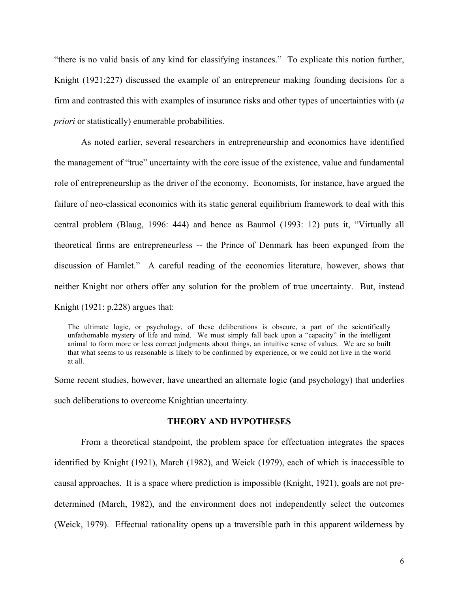"there is no valid basis of any kind for classifying instances." To explicate this notion further, Knight (1921:227) discussed the example of an entrepreneur making founding decisions for a firm and contrasted this with examples of insurance risks and other types of uncertainties with (*a priori* or statistically) enumerable probabilities.

As noted earlier, several researchers in entrepreneurship and economics have identified the management of "true" uncertainty with the core issue of the existence, value and fundamental role of entrepreneurship as the driver of the economy. Economists, for instance, have argued the failure of neo-classical economics with its static general equilibrium framework to deal with this central problem (Blaug, 1996: 444) and hence as Baumol (1993: 12) puts it, "Virtually all theoretical firms are entrepreneurless -- the Prince of Denmark has been expunged from the discussion of Hamlet." A careful reading of the economics literature, however, shows that neither Knight nor others offer any solution for the problem of true uncertainty. But, instead Knight (1921: p.228) argues that:

The ultimate logic, or psychology, of these deliberations is obscure, a part of the scientifically unfathomable mystery of life and mind. We must simply fall back upon a "capacity" in the intelligent animal to form more or less correct judgments about things, an intuitive sense of values. We are so built that what seems to us reasonable is likely to be confirmed by experience, or we could not live in the world at all.

Some recent studies, however, have unearthed an alternate logic (and psychology) that underlies such deliberations to overcome Knightian uncertainty.

## **THEORY AND HYPOTHESES**

From a theoretical standpoint, the problem space for effectuation integrates the spaces identified by Knight (1921), March (1982), and Weick (1979), each of which is inaccessible to causal approaches. It is a space where prediction is impossible (Knight, 1921), goals are not predetermined (March, 1982), and the environment does not independently select the outcomes (Weick, 1979). Effectual rationality opens up a traversible path in this apparent wilderness by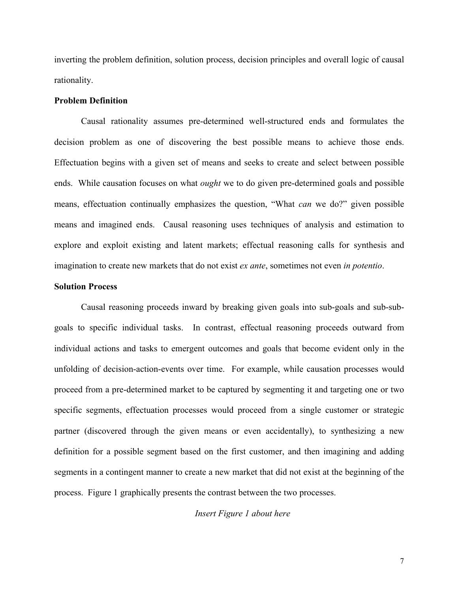inverting the problem definition, solution process, decision principles and overall logic of causal rationality.

#### **Problem Definition**

Causal rationality assumes pre-determined well-structured ends and formulates the decision problem as one of discovering the best possible means to achieve those ends. Effectuation begins with a given set of means and seeks to create and select between possible ends. While causation focuses on what *ought* we to do given pre-determined goals and possible means, effectuation continually emphasizes the question, "What *can* we do?" given possible means and imagined ends. Causal reasoning uses techniques of analysis and estimation to explore and exploit existing and latent markets; effectual reasoning calls for synthesis and imagination to create new markets that do not exist *ex ante*, sometimes not even *in potentio*.

#### **Solution Process**

Causal reasoning proceeds inward by breaking given goals into sub-goals and sub-subgoals to specific individual tasks. In contrast, effectual reasoning proceeds outward from individual actions and tasks to emergent outcomes and goals that become evident only in the unfolding of decision-action-events over time. For example, while causation processes would proceed from a pre-determined market to be captured by segmenting it and targeting one or two specific segments, effectuation processes would proceed from a single customer or strategic partner (discovered through the given means or even accidentally), to synthesizing a new definition for a possible segment based on the first customer, and then imagining and adding segments in a contingent manner to create a new market that did not exist at the beginning of the process. Figure 1 graphically presents the contrast between the two processes.

### *Insert Figure 1 about here*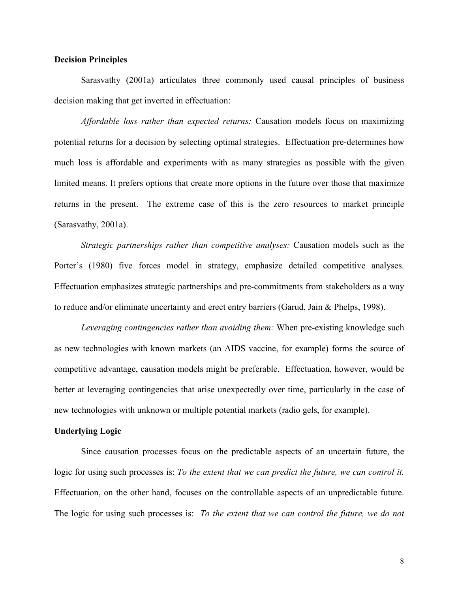### **Decision Principles**

Sarasvathy (2001a) articulates three commonly used causal principles of business decision making that get inverted in effectuation:

*Affordable loss rather than expected returns:* Causation models focus on maximizing potential returns for a decision by selecting optimal strategies. Effectuation pre-determines how much loss is affordable and experiments with as many strategies as possible with the given limited means. It prefers options that create more options in the future over those that maximize returns in the present. The extreme case of this is the zero resources to market principle (Sarasvathy, 2001a).

*Strategic partnerships rather than competitive analyses:* Causation models such as the Porter's (1980) five forces model in strategy, emphasize detailed competitive analyses. Effectuation emphasizes strategic partnerships and pre-commitments from stakeholders as a way to reduce and/or eliminate uncertainty and erect entry barriers (Garud, Jain & Phelps, 1998).

*Leveraging contingencies rather than avoiding them:* When pre-existing knowledge such as new technologies with known markets (an AIDS vaccine, for example) forms the source of competitive advantage, causation models might be preferable. Effectuation, however, would be better at leveraging contingencies that arise unexpectedly over time, particularly in the case of new technologies with unknown or multiple potential markets (radio gels, for example).

#### **Underlying Logic**

Since causation processes focus on the predictable aspects of an uncertain future, the logic for using such processes is: *To the extent that we can predict the future, we can control it.* Effectuation, on the other hand, focuses on the controllable aspects of an unpredictable future. The logic for using such processes is: *To the extent that we can control the future, we do not*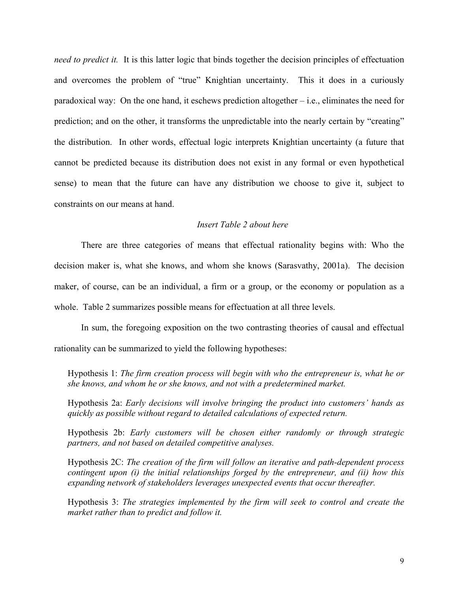*need to predict it.* It is this latter logic that binds together the decision principles of effectuation and overcomes the problem of "true" Knightian uncertainty. This it does in a curiously paradoxical way: On the one hand, it eschews prediction altogether – i.e., eliminates the need for prediction; and on the other, it transforms the unpredictable into the nearly certain by "creating" the distribution. In other words, effectual logic interprets Knightian uncertainty (a future that cannot be predicted because its distribution does not exist in any formal or even hypothetical sense) to mean that the future can have any distribution we choose to give it, subject to constraints on our means at hand.

#### *Insert Table 2 about here*

There are three categories of means that effectual rationality begins with: Who the decision maker is, what she knows, and whom she knows (Sarasvathy, 2001a). The decision maker, of course, can be an individual, a firm or a group, or the economy or population as a whole. Table 2 summarizes possible means for effectuation at all three levels.

In sum, the foregoing exposition on the two contrasting theories of causal and effectual rationality can be summarized to yield the following hypotheses:

Hypothesis 1: *The firm creation process will begin with who the entrepreneur is, what he or she knows, and whom he or she knows, and not with a predetermined market.*

Hypothesis 2a: *Early decisions will involve bringing the product into customers' hands as quickly as possible without regard to detailed calculations of expected return.*

Hypothesis 2b: *Early customers will be chosen either randomly or through strategic partners, and not based on detailed competitive analyses.*

Hypothesis 2C: *The creation of the firm will follow an iterative and path-dependent process contingent upon (i) the initial relationships forged by the entrepreneur, and (ii) how this expanding network of stakeholders leverages unexpected events that occur thereafter.*

Hypothesis 3: *The strategies implemented by the firm will seek to control and create the market rather than to predict and follow it.*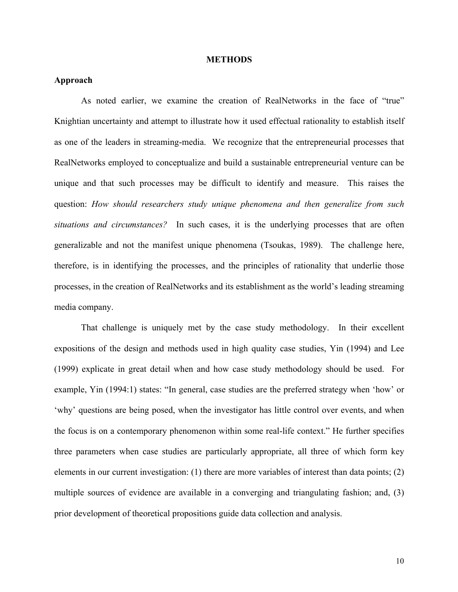#### **METHODS**

## **Approach**

As noted earlier, we examine the creation of RealNetworks in the face of "true" Knightian uncertainty and attempt to illustrate how it used effectual rationality to establish itself as one of the leaders in streaming-media. We recognize that the entrepreneurial processes that RealNetworks employed to conceptualize and build a sustainable entrepreneurial venture can be unique and that such processes may be difficult to identify and measure. This raises the question: *How should researchers study unique phenomena and then generalize from such situations and circumstances?* In such cases, it is the underlying processes that are often generalizable and not the manifest unique phenomena (Tsoukas, 1989). The challenge here, therefore, is in identifying the processes, and the principles of rationality that underlie those processes, in the creation of RealNetworks and its establishment as the world's leading streaming media company.

That challenge is uniquely met by the case study methodology. In their excellent expositions of the design and methods used in high quality case studies, Yin (1994) and Lee (1999) explicate in great detail when and how case study methodology should be used. For example, Yin (1994:1) states: "In general, case studies are the preferred strategy when 'how' or 'why' questions are being posed, when the investigator has little control over events, and when the focus is on a contemporary phenomenon within some real-life context." He further specifies three parameters when case studies are particularly appropriate, all three of which form key elements in our current investigation: (1) there are more variables of interest than data points; (2) multiple sources of evidence are available in a converging and triangulating fashion; and, (3) prior development of theoretical propositions guide data collection and analysis.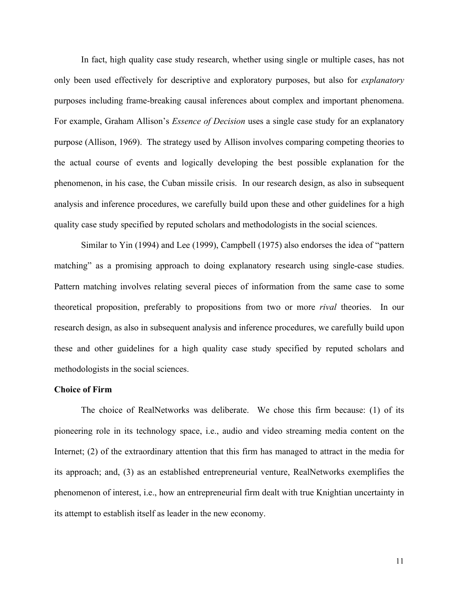In fact, high quality case study research, whether using single or multiple cases, has not only been used effectively for descriptive and exploratory purposes, but also for *explanatory* purposes including frame-breaking causal inferences about complex and important phenomena. For example, Graham Allison's *Essence of Decision* uses a single case study for an explanatory purpose (Allison, 1969). The strategy used by Allison involves comparing competing theories to the actual course of events and logically developing the best possible explanation for the phenomenon, in his case, the Cuban missile crisis. In our research design, as also in subsequent analysis and inference procedures, we carefully build upon these and other guidelines for a high quality case study specified by reputed scholars and methodologists in the social sciences.

Similar to Yin (1994) and Lee (1999), Campbell (1975) also endorses the idea of "pattern matching" as a promising approach to doing explanatory research using single-case studies. Pattern matching involves relating several pieces of information from the same case to some theoretical proposition, preferably to propositions from two or more *rival* theories. In our research design, as also in subsequent analysis and inference procedures, we carefully build upon these and other guidelines for a high quality case study specified by reputed scholars and methodologists in the social sciences.

#### **Choice of Firm**

The choice of RealNetworks was deliberate. We chose this firm because: (1) of its pioneering role in its technology space, i.e., audio and video streaming media content on the Internet; (2) of the extraordinary attention that this firm has managed to attract in the media for its approach; and, (3) as an established entrepreneurial venture, RealNetworks exemplifies the phenomenon of interest, i.e., how an entrepreneurial firm dealt with true Knightian uncertainty in its attempt to establish itself as leader in the new economy.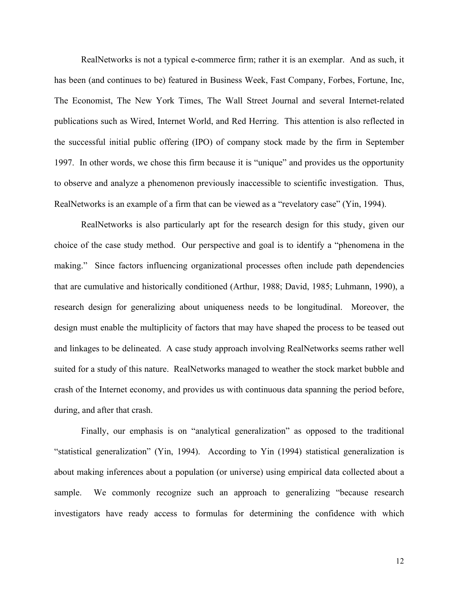RealNetworks is not a typical e-commerce firm; rather it is an exemplar. And as such, it has been (and continues to be) featured in Business Week, Fast Company, Forbes, Fortune, Inc, The Economist, The New York Times, The Wall Street Journal and several Internet-related publications such as Wired, Internet World, and Red Herring. This attention is also reflected in the successful initial public offering (IPO) of company stock made by the firm in September 1997. In other words, we chose this firm because it is "unique" and provides us the opportunity to observe and analyze a phenomenon previously inaccessible to scientific investigation. Thus, RealNetworks is an example of a firm that can be viewed as a "revelatory case" (Yin, 1994).

RealNetworks is also particularly apt for the research design for this study, given our choice of the case study method. Our perspective and goal is to identify a "phenomena in the making." Since factors influencing organizational processes often include path dependencies that are cumulative and historically conditioned (Arthur, 1988; David, 1985; Luhmann, 1990), a research design for generalizing about uniqueness needs to be longitudinal. Moreover, the design must enable the multiplicity of factors that may have shaped the process to be teased out and linkages to be delineated. A case study approach involving RealNetworks seems rather well suited for a study of this nature. RealNetworks managed to weather the stock market bubble and crash of the Internet economy, and provides us with continuous data spanning the period before, during, and after that crash.

Finally, our emphasis is on "analytical generalization" as opposed to the traditional "statistical generalization" (Yin, 1994). According to Yin (1994) statistical generalization is about making inferences about a population (or universe) using empirical data collected about a sample. We commonly recognize such an approach to generalizing "because research investigators have ready access to formulas for determining the confidence with which

12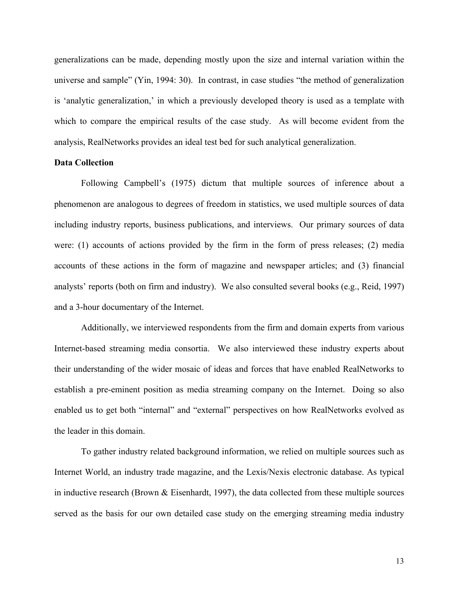generalizations can be made, depending mostly upon the size and internal variation within the universe and sample" (Yin, 1994: 30). In contrast, in case studies "the method of generalization is 'analytic generalization,' in which a previously developed theory is used as a template with which to compare the empirical results of the case study. As will become evident from the analysis, RealNetworks provides an ideal test bed for such analytical generalization.

#### **Data Collection**

Following Campbell's (1975) dictum that multiple sources of inference about a phenomenon are analogous to degrees of freedom in statistics, we used multiple sources of data including industry reports, business publications, and interviews. Our primary sources of data were: (1) accounts of actions provided by the firm in the form of press releases; (2) media accounts of these actions in the form of magazine and newspaper articles; and (3) financial analysts' reports (both on firm and industry). We also consulted several books (e.g., Reid, 1997) and a 3-hour documentary of the Internet.

Additionally, we interviewed respondents from the firm and domain experts from various Internet-based streaming media consortia. We also interviewed these industry experts about their understanding of the wider mosaic of ideas and forces that have enabled RealNetworks to establish a pre-eminent position as media streaming company on the Internet. Doing so also enabled us to get both "internal" and "external" perspectives on how RealNetworks evolved as the leader in this domain.

To gather industry related background information, we relied on multiple sources such as Internet World, an industry trade magazine, and the Lexis/Nexis electronic database. As typical in inductive research (Brown & Eisenhardt, 1997), the data collected from these multiple sources served as the basis for our own detailed case study on the emerging streaming media industry

13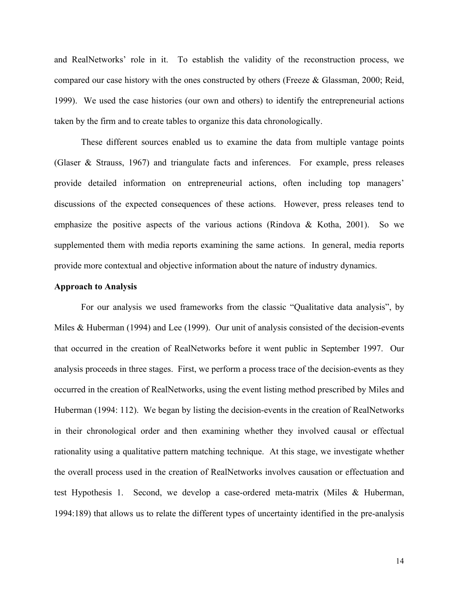and RealNetworks' role in it. To establish the validity of the reconstruction process, we compared our case history with the ones constructed by others (Freeze & Glassman, 2000; Reid, 1999). We used the case histories (our own and others) to identify the entrepreneurial actions taken by the firm and to create tables to organize this data chronologically.

These different sources enabled us to examine the data from multiple vantage points (Glaser & Strauss, 1967) and triangulate facts and inferences. For example, press releases provide detailed information on entrepreneurial actions, often including top managers' discussions of the expected consequences of these actions. However, press releases tend to emphasize the positive aspects of the various actions (Rindova & Kotha, 2001). So we supplemented them with media reports examining the same actions. In general, media reports provide more contextual and objective information about the nature of industry dynamics.

#### **Approach to Analysis**

For our analysis we used frameworks from the classic "Qualitative data analysis", by Miles & Huberman (1994) and Lee (1999). Our unit of analysis consisted of the decision-events that occurred in the creation of RealNetworks before it went public in September 1997. Our analysis proceeds in three stages. First, we perform a process trace of the decision-events as they occurred in the creation of RealNetworks, using the event listing method prescribed by Miles and Huberman (1994: 112). We began by listing the decision-events in the creation of RealNetworks in their chronological order and then examining whether they involved causal or effectual rationality using a qualitative pattern matching technique. At this stage, we investigate whether the overall process used in the creation of RealNetworks involves causation or effectuation and test Hypothesis 1. Second, we develop a case-ordered meta-matrix (Miles & Huberman, 1994:189) that allows us to relate the different types of uncertainty identified in the pre-analysis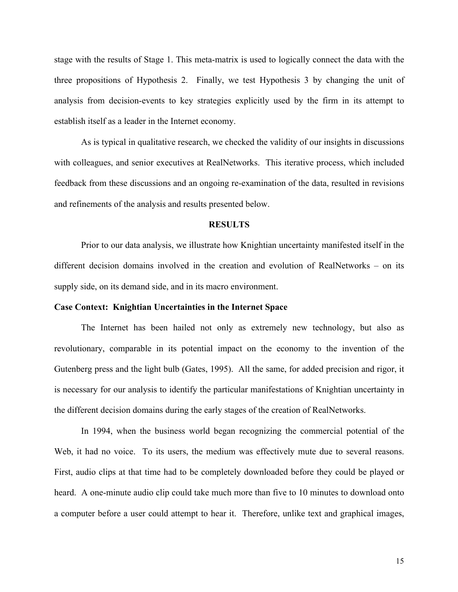stage with the results of Stage 1. This meta-matrix is used to logically connect the data with the three propositions of Hypothesis 2. Finally, we test Hypothesis 3 by changing the unit of analysis from decision-events to key strategies explicitly used by the firm in its attempt to establish itself as a leader in the Internet economy.

As is typical in qualitative research, we checked the validity of our insights in discussions with colleagues, and senior executives at RealNetworks. This iterative process, which included feedback from these discussions and an ongoing re-examination of the data, resulted in revisions and refinements of the analysis and results presented below.

#### **RESULTS**

Prior to our data analysis, we illustrate how Knightian uncertainty manifested itself in the different decision domains involved in the creation and evolution of RealNetworks – on its supply side, on its demand side, and in its macro environment.

#### **Case Context: Knightian Uncertainties in the Internet Space**

The Internet has been hailed not only as extremely new technology, but also as revolutionary, comparable in its potential impact on the economy to the invention of the Gutenberg press and the light bulb (Gates, 1995). All the same, for added precision and rigor, it is necessary for our analysis to identify the particular manifestations of Knightian uncertainty in the different decision domains during the early stages of the creation of RealNetworks.

In 1994, when the business world began recognizing the commercial potential of the Web, it had no voice. To its users, the medium was effectively mute due to several reasons. First, audio clips at that time had to be completely downloaded before they could be played or heard. A one-minute audio clip could take much more than five to 10 minutes to download onto a computer before a user could attempt to hear it. Therefore, unlike text and graphical images,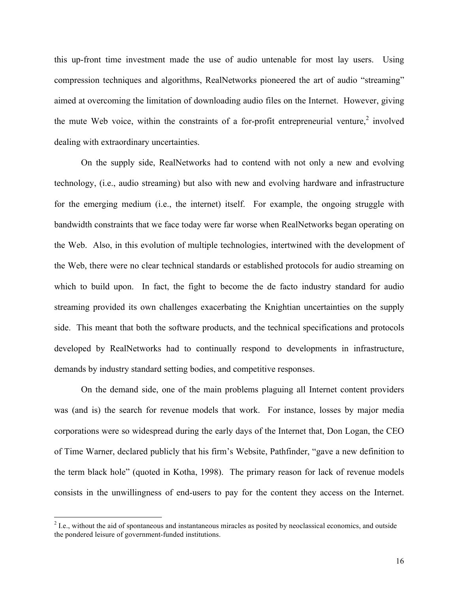this up-front time investment made the use of audio untenable for most lay users. Using compression techniques and algorithms, RealNetworks pioneered the art of audio "streaming" aimed at overcoming the limitation of downloading audio files on the Internet. However, giving the mute Web voice, within the constraints of a for-profit entrepreneurial venture, $2$  involved dealing with extraordinary uncertainties.

On the supply side, RealNetworks had to contend with not only a new and evolving technology, (i.e., audio streaming) but also with new and evolving hardware and infrastructure for the emerging medium (i.e., the internet) itself. For example, the ongoing struggle with bandwidth constraints that we face today were far worse when RealNetworks began operating on the Web. Also, in this evolution of multiple technologies, intertwined with the development of the Web, there were no clear technical standards or established protocols for audio streaming on which to build upon. In fact, the fight to become the de facto industry standard for audio streaming provided its own challenges exacerbating the Knightian uncertainties on the supply side. This meant that both the software products, and the technical specifications and protocols developed by RealNetworks had to continually respond to developments in infrastructure, demands by industry standard setting bodies, and competitive responses.

On the demand side, one of the main problems plaguing all Internet content providers was (and is) the search for revenue models that work. For instance, losses by major media corporations were so widespread during the early days of the Internet that, Don Logan, the CEO of Time Warner, declared publicly that his firm's Website, Pathfinder, "gave a new definition to the term black hole" (quoted in Kotha, 1998). The primary reason for lack of revenue models consists in the unwillingness of end-users to pay for the content they access on the Internet.

<sup>&</sup>lt;sup>2</sup> I.e., without the aid of spontaneous and instantaneous miracles as posited by neoclassical economics, and outside the pondered leisure of government-funded institutions.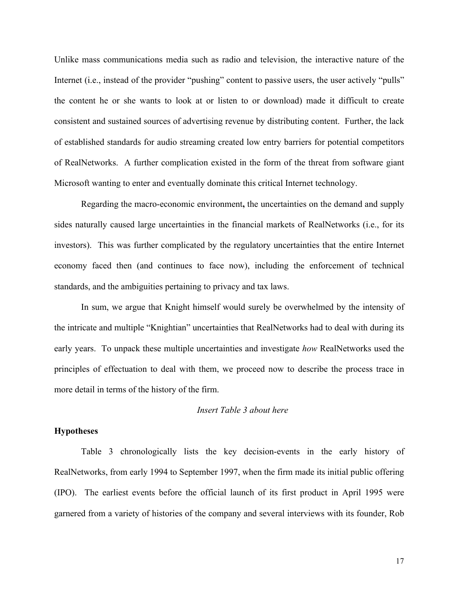Unlike mass communications media such as radio and television, the interactive nature of the Internet (i.e., instead of the provider "pushing" content to passive users, the user actively "pulls" the content he or she wants to look at or listen to or download) made it difficult to create consistent and sustained sources of advertising revenue by distributing content. Further, the lack of established standards for audio streaming created low entry barriers for potential competitors of RealNetworks. A further complication existed in the form of the threat from software giant Microsoft wanting to enter and eventually dominate this critical Internet technology.

Regarding the macro-economic environment**,** the uncertainties on the demand and supply sides naturally caused large uncertainties in the financial markets of RealNetworks (i.e., for its investors). This was further complicated by the regulatory uncertainties that the entire Internet economy faced then (and continues to face now), including the enforcement of technical standards, and the ambiguities pertaining to privacy and tax laws.

In sum, we argue that Knight himself would surely be overwhelmed by the intensity of the intricate and multiple "Knightian" uncertainties that RealNetworks had to deal with during its early years. To unpack these multiple uncertainties and investigate *how* RealNetworks used the principles of effectuation to deal with them, we proceed now to describe the process trace in more detail in terms of the history of the firm.

#### *Insert Table 3 about here*

#### **Hypotheses**

Table 3 chronologically lists the key decision-events in the early history of RealNetworks, from early 1994 to September 1997, when the firm made its initial public offering (IPO). The earliest events before the official launch of its first product in April 1995 were garnered from a variety of histories of the company and several interviews with its founder, Rob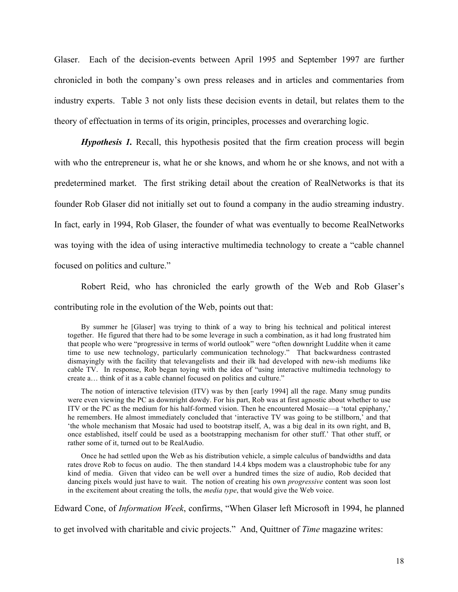Glaser. Each of the decision-events between April 1995 and September 1997 are further chronicled in both the company's own press releases and in articles and commentaries from industry experts. Table 3 not only lists these decision events in detail, but relates them to the theory of effectuation in terms of its origin, principles, processes and overarching logic.

*Hypothesis 1.* Recall, this hypothesis posited that the firm creation process will begin with who the entrepreneur is, what he or she knows, and whom he or she knows, and not with a predetermined market. The first striking detail about the creation of RealNetworks is that its founder Rob Glaser did not initially set out to found a company in the audio streaming industry. In fact, early in 1994, Rob Glaser, the founder of what was eventually to become RealNetworks was toying with the idea of using interactive multimedia technology to create a "cable channel" focused on politics and culture."

Robert Reid, who has chronicled the early growth of the Web and Rob Glaser's contributing role in the evolution of the Web, points out that:

By summer he [Glaser] was trying to think of a way to bring his technical and political interest together. He figured that there had to be some leverage in such a combination, as it had long frustrated him that people who were "progressive in terms of world outlook" were "often downright Luddite when it came time to use new technology, particularly communication technology." That backwardness contrasted dismayingly with the facility that televangelists and their ilk had developed with new-ish mediums like cable TV. In response, Rob began toying with the idea of "using interactive multimedia technology to create a… think of it as a cable channel focused on politics and culture."

The notion of interactive television (ITV) was by then [early 1994] all the rage. Many smug pundits were even viewing the PC as downright dowdy. For his part, Rob was at first agnostic about whether to use ITV or the PC as the medium for his half-formed vision. Then he encountered Mosaic—a 'total epiphany,' he remembers. He almost immediately concluded that 'interactive TV was going to be stillborn,' and that 'the whole mechanism that Mosaic had used to bootstrap itself, A, was a big deal in its own right, and B, once established, itself could be used as a bootstrapping mechanism for other stuff.' That other stuff, or rather some of it, turned out to be RealAudio.

Once he had settled upon the Web as his distribution vehicle, a simple calculus of bandwidths and data rates drove Rob to focus on audio. The then standard 14.4 kbps modem was a claustrophobic tube for any kind of media. Given that video can be well over a hundred times the size of audio, Rob decided that dancing pixels would just have to wait. The notion of creating his own *progressive* content was soon lost in the excitement about creating the tolls, the *media type*, that would give the Web voice.

Edward Cone, of *Information Week*, confirms, "When Glaser left Microsoft in 1994, he planned

to get involved with charitable and civic projects." And, Quittner of *Time* magazine writes: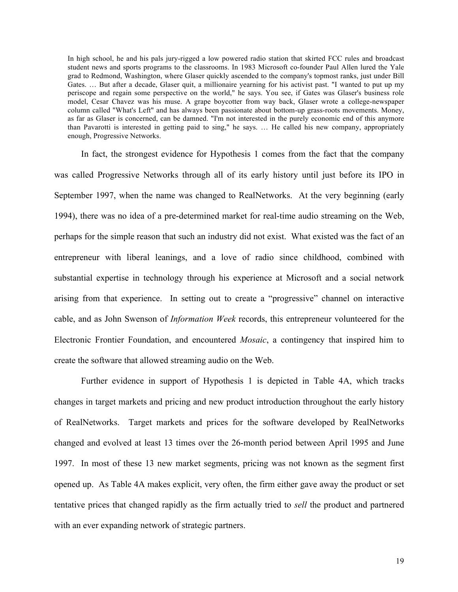In high school, he and his pals jury-rigged a low powered radio station that skirted FCC rules and broadcast student news and sports programs to the classrooms. In 1983 Microsoft co-founder Paul Allen lured the Yale grad to Redmond, Washington, where Glaser quickly ascended to the company's topmost ranks, just under Bill Gates. … But after a decade, Glaser quit, a millionaire yearning for his activist past. "I wanted to put up my periscope and regain some perspective on the world," he says. You see, if Gates was Glaser's business role model, Cesar Chavez was his muse. A grape boycotter from way back, Glaser wrote a college-newspaper column called "What's Left" and has always been passionate about bottom-up grass-roots movements. Money, as far as Glaser is concerned, can be damned. "I'm not interested in the purely economic end of this anymore than Pavarotti is interested in getting paid to sing," he says. … He called his new company, appropriately enough, Progressive Networks.

In fact, the strongest evidence for Hypothesis 1 comes from the fact that the company was called Progressive Networks through all of its early history until just before its IPO in September 1997, when the name was changed to RealNetworks. At the very beginning (early 1994), there was no idea of a pre-determined market for real-time audio streaming on the Web, perhaps for the simple reason that such an industry did not exist. What existed was the fact of an entrepreneur with liberal leanings, and a love of radio since childhood, combined with substantial expertise in technology through his experience at Microsoft and a social network arising from that experience. In setting out to create a "progressive" channel on interactive cable, and as John Swenson of *Information Week* records, this entrepreneur volunteered for the Electronic Frontier Foundation, and encountered *Mosaic*, a contingency that inspired him to create the software that allowed streaming audio on the Web.

Further evidence in support of Hypothesis 1 is depicted in Table 4A, which tracks changes in target markets and pricing and new product introduction throughout the early history of RealNetworks. Target markets and prices for the software developed by RealNetworks changed and evolved at least 13 times over the 26-month period between April 1995 and June 1997. In most of these 13 new market segments, pricing was not known as the segment first opened up. As Table 4A makes explicit, very often, the firm either gave away the product or set tentative prices that changed rapidly as the firm actually tried to *sell* the product and partnered with an ever expanding network of strategic partners.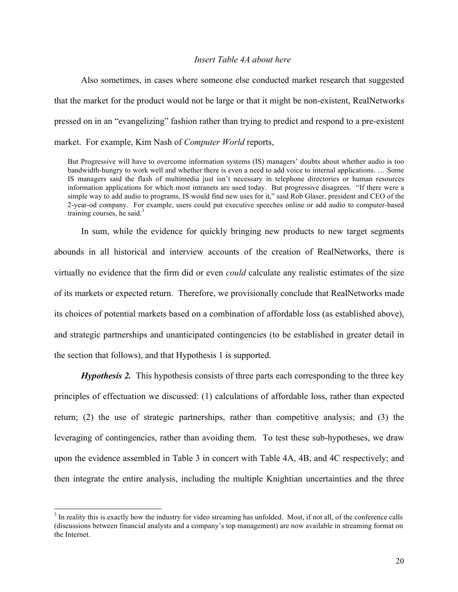#### *Insert Table 4A about here*

Also sometimes, in cases where someone else conducted market research that suggested that the market for the product would not be large or that it might be non-existent, RealNetworks pressed on in an "evangelizing" fashion rather than trying to predict and respond to a pre-existent market. For example, Kim Nash of *Computer World* reports,

But Progressive will have to overcome information systems (IS) managers' doubts about whether audio is too bandwidth-hungry to work well and whether there is even a need to add voice to internal applications. … Some IS managers said the flash of multimedia just isn't necessary in telephone directories or human resources information applications for which most intranets are used today. But progressive disagrees. "If there were a simple way to add audio to programs, IS would find new uses for it," said Rob Glaser, president and CEO of the 2-year-od company. For example, users could put executive speeches online or add audio to computer-based training courses, he said. $3$ 

In sum, while the evidence for quickly bringing new products to new target segments abounds in all historical and interview accounts of the creation of RealNetworks, there is virtually no evidence that the firm did or even *could* calculate any realistic estimates of the size of its markets or expected return. Therefore, we provisionally conclude that RealNetworks made its choices of potential markets based on a combination of affordable loss (as established above), and strategic partnerships and unanticipated contingencies (to be established in greater detail in the section that follows), and that Hypothesis 1 is supported.

*Hypothesis 2.* This hypothesis consists of three parts each corresponding to the three key principles of effectuation we discussed: (1) calculations of affordable loss, rather than expected return; (2) the use of strategic partnerships, rather than competitive analysis; and (3) the leveraging of contingencies, rather than avoiding them. To test these sub-hypotheses, we draw upon the evidence assembled in Table 3 in concert with Table 4A, 4B, and 4C respectively; and then integrate the entire analysis, including the multiple Knightian uncertainties and the three

<sup>&</sup>lt;sup>3</sup> In reality this is exactly how the industry for video streaming has unfolded. Most, if not all, of the conference calls (discussions between financial analysts and a company's top management) are now available in streaming format on the Internet.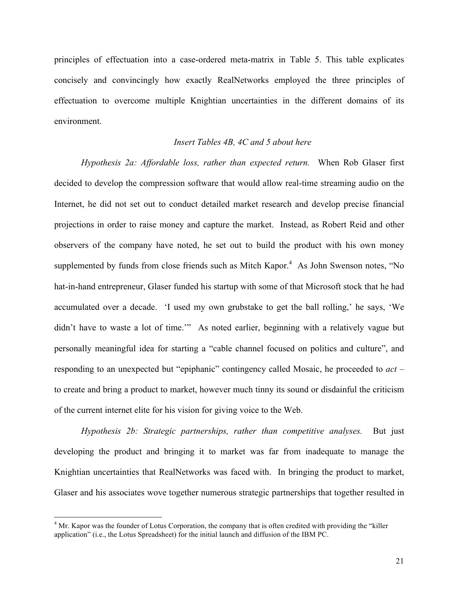principles of effectuation into a case-ordered meta-matrix in Table 5. This table explicates concisely and convincingly how exactly RealNetworks employed the three principles of effectuation to overcome multiple Knightian uncertainties in the different domains of its environment.

#### *Insert Tables 4B, 4C and 5 about here*

*Hypothesis 2a: Affordable loss, rather than expected return.* When Rob Glaser first decided to develop the compression software that would allow real-time streaming audio on the Internet, he did not set out to conduct detailed market research and develop precise financial projections in order to raise money and capture the market. Instead, as Robert Reid and other observers of the company have noted, he set out to build the product with his own money supplemented by funds from close friends such as Mitch Kapor. $4$  As John Swenson notes, "No hat-in-hand entrepreneur, Glaser funded his startup with some of that Microsoft stock that he had accumulated over a decade. 'I used my own grubstake to get the ball rolling,' he says, 'We didn't have to waste a lot of time.'" As noted earlier, beginning with a relatively vague but personally meaningful idea for starting a "cable channel focused on politics and culture", and responding to an unexpected but "epiphanic" contingency called Mosaic, he proceeded to *act* – to create and bring a product to market, however much tinny its sound or disdainful the criticism of the current internet elite for his vision for giving voice to the Web.

*Hypothesis 2b: Strategic partnerships, rather than competitive analyses.* But just developing the product and bringing it to market was far from inadequate to manage the Knightian uncertainties that RealNetworks was faced with. In bringing the product to market, Glaser and his associates wove together numerous strategic partnerships that together resulted in

<sup>&</sup>lt;sup>4</sup> Mr. Kapor was the founder of Lotus Corporation, the company that is often credited with providing the "killer" application" (i.e., the Lotus Spreadsheet) for the initial launch and diffusion of the IBM PC.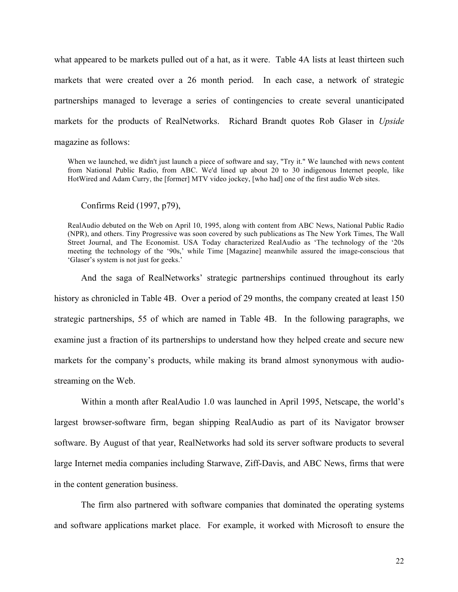what appeared to be markets pulled out of a hat, as it were. Table 4A lists at least thirteen such markets that were created over a 26 month period. In each case, a network of strategic partnerships managed to leverage a series of contingencies to create several unanticipated markets for the products of RealNetworks. Richard Brandt quotes Rob Glaser in *Upside*  magazine as follows:

When we launched, we didn't just launch a piece of software and say, "Try it." We launched with news content from National Public Radio, from ABC. We'd lined up about 20 to 30 indigenous Internet people, like HotWired and Adam Curry, the [former] MTV video jockey, [who had] one of the first audio Web sites.

Confirms Reid (1997, p79),

RealAudio debuted on the Web on April 10, 1995, along with content from ABC News, National Public Radio (NPR), and others. Tiny Progressive was soon covered by such publications as The New York Times, The Wall Street Journal, and The Economist. USA Today characterized RealAudio as 'The technology of the '20s meeting the technology of the '90s,' while Time [Magazine] meanwhile assured the image-conscious that 'Glaser's system is not just for geeks.'

And the saga of RealNetworks' strategic partnerships continued throughout its early history as chronicled in Table 4B. Over a period of 29 months, the company created at least 150 strategic partnerships, 55 of which are named in Table 4B. In the following paragraphs, we examine just a fraction of its partnerships to understand how they helped create and secure new markets for the company's products, while making its brand almost synonymous with audiostreaming on the Web.

Within a month after RealAudio 1.0 was launched in April 1995, Netscape, the world's largest browser-software firm, began shipping RealAudio as part of its Navigator browser software. By August of that year, RealNetworks had sold its server software products to several large Internet media companies including Starwave, Ziff-Davis, and ABC News, firms that were in the content generation business.

The firm also partnered with software companies that dominated the operating systems and software applications market place. For example, it worked with Microsoft to ensure the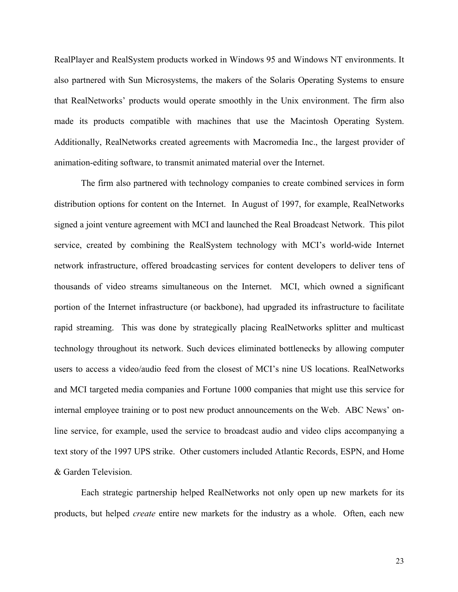RealPlayer and RealSystem products worked in Windows 95 and Windows NT environments. It also partnered with Sun Microsystems, the makers of the Solaris Operating Systems to ensure that RealNetworks' products would operate smoothly in the Unix environment. The firm also made its products compatible with machines that use the Macintosh Operating System. Additionally, RealNetworks created agreements with Macromedia Inc., the largest provider of animation-editing software, to transmit animated material over the Internet.

The firm also partnered with technology companies to create combined services in form distribution options for content on the Internet. In August of 1997, for example, RealNetworks signed a joint venture agreement with MCI and launched the Real Broadcast Network. This pilot service, created by combining the RealSystem technology with MCI's world-wide Internet network infrastructure, offered broadcasting services for content developers to deliver tens of thousands of video streams simultaneous on the Internet. MCI, which owned a significant portion of the Internet infrastructure (or backbone), had upgraded its infrastructure to facilitate rapid streaming. This was done by strategically placing RealNetworks splitter and multicast technology throughout its network. Such devices eliminated bottlenecks by allowing computer users to access a video/audio feed from the closest of MCI's nine US locations. RealNetworks and MCI targeted media companies and Fortune 1000 companies that might use this service for internal employee training or to post new product announcements on the Web. ABC News' online service, for example, used the service to broadcast audio and video clips accompanying a text story of the 1997 UPS strike. Other customers included Atlantic Records, ESPN, and Home & Garden Television.

Each strategic partnership helped RealNetworks not only open up new markets for its products, but helped *create* entire new markets for the industry as a whole. Often, each new

23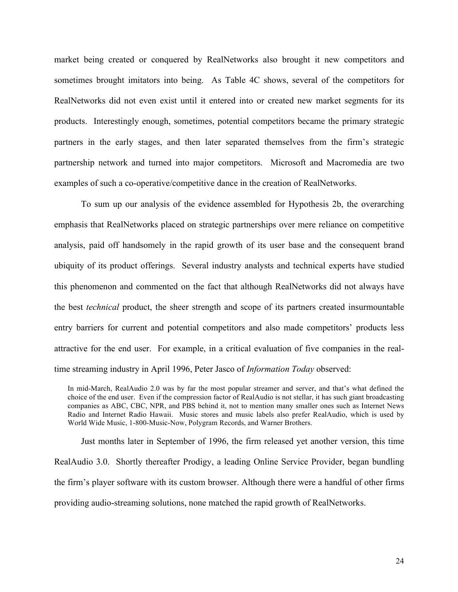market being created or conquered by RealNetworks also brought it new competitors and sometimes brought imitators into being. As Table 4C shows, several of the competitors for RealNetworks did not even exist until it entered into or created new market segments for its products. Interestingly enough, sometimes, potential competitors became the primary strategic partners in the early stages, and then later separated themselves from the firm's strategic partnership network and turned into major competitors. Microsoft and Macromedia are two examples of such a co-operative/competitive dance in the creation of RealNetworks.

To sum up our analysis of the evidence assembled for Hypothesis 2b, the overarching emphasis that RealNetworks placed on strategic partnerships over mere reliance on competitive analysis, paid off handsomely in the rapid growth of its user base and the consequent brand ubiquity of its product offerings. Several industry analysts and technical experts have studied this phenomenon and commented on the fact that although RealNetworks did not always have the best *technical* product, the sheer strength and scope of its partners created insurmountable entry barriers for current and potential competitors and also made competitors' products less attractive for the end user. For example, in a critical evaluation of five companies in the realtime streaming industry in April 1996, Peter Jasco of *Information Today* observed:

In mid-March, RealAudio 2.0 was by far the most popular streamer and server, and that's what defined the choice of the end user. Even if the compression factor of RealAudio is not stellar, it has such giant broadcasting companies as ABC, CBC, NPR, and PBS behind it, not to mention many smaller ones such as Internet News Radio and Internet Radio Hawaii. Music stores and music labels also prefer RealAudio, which is used by World Wide Music, 1-800-Music-Now, Polygram Records, and Warner Brothers.

Just months later in September of 1996, the firm released yet another version, this time RealAudio 3.0. Shortly thereafter Prodigy, a leading Online Service Provider, began bundling the firm's player software with its custom browser. Although there were a handful of other firms providing audio-streaming solutions, none matched the rapid growth of RealNetworks.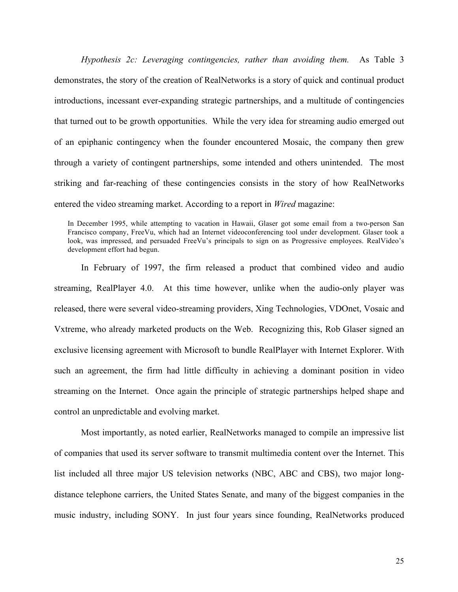*Hypothesis 2c: Leveraging contingencies, rather than avoiding them.* As Table 3 demonstrates, the story of the creation of RealNetworks is a story of quick and continual product introductions, incessant ever-expanding strategic partnerships, and a multitude of contingencies that turned out to be growth opportunities. While the very idea for streaming audio emerged out of an epiphanic contingency when the founder encountered Mosaic, the company then grew through a variety of contingent partnerships, some intended and others unintended. The most striking and far-reaching of these contingencies consists in the story of how RealNetworks entered the video streaming market. According to a report in *Wired* magazine:

In December 1995, while attempting to vacation in Hawaii, Glaser got some email from a two-person San Francisco company, FreeVu, which had an Internet videoconferencing tool under development. Glaser took a look, was impressed, and persuaded FreeVu's principals to sign on as Progressive employees. RealVideo's development effort had begun.

In February of 1997, the firm released a product that combined video and audio streaming, RealPlayer 4.0. At this time however, unlike when the audio-only player was released, there were several video-streaming providers, Xing Technologies, VDOnet, Vosaic and Vxtreme, who already marketed products on the Web. Recognizing this, Rob Glaser signed an exclusive licensing agreement with Microsoft to bundle RealPlayer with Internet Explorer. With such an agreement, the firm had little difficulty in achieving a dominant position in video streaming on the Internet. Once again the principle of strategic partnerships helped shape and control an unpredictable and evolving market.

Most importantly, as noted earlier, RealNetworks managed to compile an impressive list of companies that used its server software to transmit multimedia content over the Internet. This list included all three major US television networks (NBC, ABC and CBS), two major longdistance telephone carriers, the United States Senate, and many of the biggest companies in the music industry, including SONY. In just four years since founding, RealNetworks produced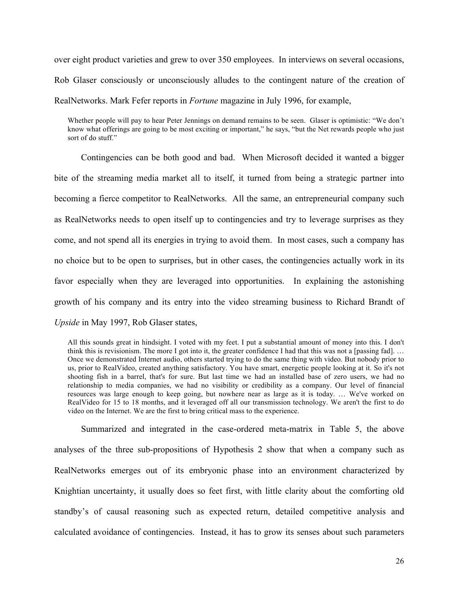over eight product varieties and grew to over 350 employees. In interviews on several occasions, Rob Glaser consciously or unconsciously alludes to the contingent nature of the creation of RealNetworks. Mark Fefer reports in *Fortune* magazine in July 1996, for example,

Whether people will pay to hear Peter Jennings on demand remains to be seen. Glaser is optimistic: "We don't know what offerings are going to be most exciting or important," he says, "but the Net rewards people who just sort of do stuff."

Contingencies can be both good and bad. When Microsoft decided it wanted a bigger bite of the streaming media market all to itself, it turned from being a strategic partner into becoming a fierce competitor to RealNetworks. All the same, an entrepreneurial company such as RealNetworks needs to open itself up to contingencies and try to leverage surprises as they come, and not spend all its energies in trying to avoid them. In most cases, such a company has no choice but to be open to surprises, but in other cases, the contingencies actually work in its favor especially when they are leveraged into opportunities. In explaining the astonishing growth of his company and its entry into the video streaming business to Richard Brandt of *Upside* in May 1997, Rob Glaser states,

All this sounds great in hindsight. I voted with my feet. I put a substantial amount of money into this. I don't think this is revisionism. The more I got into it, the greater confidence I had that this was not a [passing fad]. … Once we demonstrated Internet audio, others started trying to do the same thing with video. But nobody prior to us, prior to RealVideo, created anything satisfactory. You have smart, energetic people looking at it. So it's not shooting fish in a barrel, that's for sure. But last time we had an installed base of zero users, we had no relationship to media companies, we had no visibility or credibility as a company. Our level of financial resources was large enough to keep going, but nowhere near as large as it is today. … We've worked on RealVideo for 15 to 18 months, and it leveraged off all our transmission technology. We aren't the first to do video on the Internet. We are the first to bring critical mass to the experience.

Summarized and integrated in the case-ordered meta-matrix in Table 5, the above analyses of the three sub-propositions of Hypothesis 2 show that when a company such as RealNetworks emerges out of its embryonic phase into an environment characterized by Knightian uncertainty, it usually does so feet first, with little clarity about the comforting old standby's of causal reasoning such as expected return, detailed competitive analysis and calculated avoidance of contingencies. Instead, it has to grow its senses about such parameters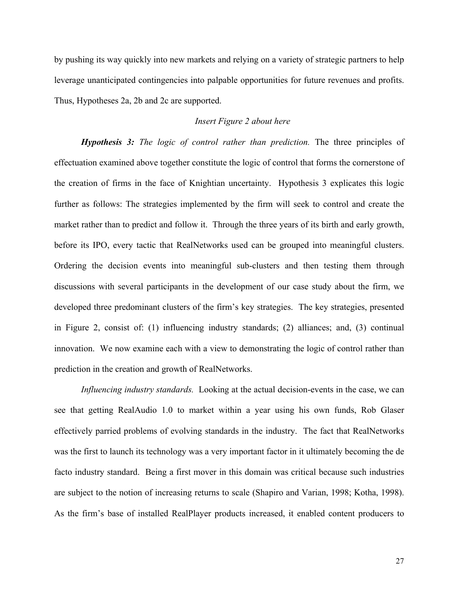by pushing its way quickly into new markets and relying on a variety of strategic partners to help leverage unanticipated contingencies into palpable opportunities for future revenues and profits. Thus, Hypotheses 2a, 2b and 2c are supported.

## *Insert Figure 2 about here*

*Hypothesis 3: The logic of control rather than prediction.* The three principles of effectuation examined above together constitute the logic of control that forms the cornerstone of the creation of firms in the face of Knightian uncertainty. Hypothesis 3 explicates this logic further as follows: The strategies implemented by the firm will seek to control and create the market rather than to predict and follow it. Through the three years of its birth and early growth, before its IPO, every tactic that RealNetworks used can be grouped into meaningful clusters. Ordering the decision events into meaningful sub-clusters and then testing them through discussions with several participants in the development of our case study about the firm, we developed three predominant clusters of the firm's key strategies. The key strategies, presented in Figure 2, consist of: (1) influencing industry standards; (2) alliances; and, (3) continual innovation. We now examine each with a view to demonstrating the logic of control rather than prediction in the creation and growth of RealNetworks.

*Influencing industry standards.* Looking at the actual decision-events in the case, we can see that getting RealAudio 1.0 to market within a year using his own funds, Rob Glaser effectively parried problems of evolving standards in the industry. The fact that RealNetworks was the first to launch its technology was a very important factor in it ultimately becoming the de facto industry standard. Being a first mover in this domain was critical because such industries are subject to the notion of increasing returns to scale (Shapiro and Varian, 1998; Kotha, 1998). As the firm's base of installed RealPlayer products increased, it enabled content producers to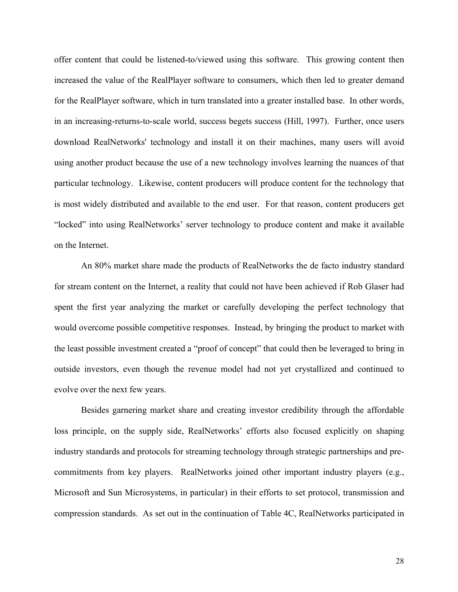offer content that could be listened-to/viewed using this software. This growing content then increased the value of the RealPlayer software to consumers, which then led to greater demand for the RealPlayer software, which in turn translated into a greater installed base. In other words, in an increasing-returns-to-scale world, success begets success (Hill, 1997). Further, once users download RealNetworks' technology and install it on their machines, many users will avoid using another product because the use of a new technology involves learning the nuances of that particular technology. Likewise, content producers will produce content for the technology that is most widely distributed and available to the end user. For that reason, content producers get "locked" into using RealNetworks' server technology to produce content and make it available on the Internet.

An 80% market share made the products of RealNetworks the de facto industry standard for stream content on the Internet, a reality that could not have been achieved if Rob Glaser had spent the first year analyzing the market or carefully developing the perfect technology that would overcome possible competitive responses. Instead, by bringing the product to market with the least possible investment created a "proof of concept" that could then be leveraged to bring in outside investors, even though the revenue model had not yet crystallized and continued to evolve over the next few years.

Besides garnering market share and creating investor credibility through the affordable loss principle, on the supply side, RealNetworks' efforts also focused explicitly on shaping industry standards and protocols for streaming technology through strategic partnerships and precommitments from key players. RealNetworks joined other important industry players (e.g., Microsoft and Sun Microsystems, in particular) in their efforts to set protocol, transmission and compression standards. As set out in the continuation of Table 4C, RealNetworks participated in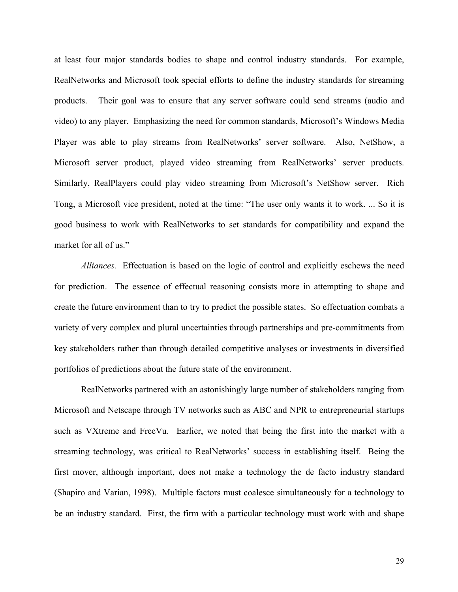at least four major standards bodies to shape and control industry standards. For example, RealNetworks and Microsoft took special efforts to define the industry standards for streaming products. Their goal was to ensure that any server software could send streams (audio and video) to any player. Emphasizing the need for common standards, Microsoft's Windows Media Player was able to play streams from RealNetworks' server software. Also, NetShow, a Microsoft server product, played video streaming from RealNetworks' server products. Similarly, RealPlayers could play video streaming from Microsoft's NetShow server. Rich Tong, a Microsoft vice president, noted at the time: "The user only wants it to work. ... So it is good business to work with RealNetworks to set standards for compatibility and expand the market for all of us."

*Alliances.* Effectuation is based on the logic of control and explicitly eschews the need for prediction. The essence of effectual reasoning consists more in attempting to shape and create the future environment than to try to predict the possible states. So effectuation combats a variety of very complex and plural uncertainties through partnerships and pre-commitments from key stakeholders rather than through detailed competitive analyses or investments in diversified portfolios of predictions about the future state of the environment.

RealNetworks partnered with an astonishingly large number of stakeholders ranging from Microsoft and Netscape through TV networks such as ABC and NPR to entrepreneurial startups such as VXtreme and FreeVu. Earlier, we noted that being the first into the market with a streaming technology, was critical to RealNetworks' success in establishing itself. Being the first mover, although important, does not make a technology the de facto industry standard (Shapiro and Varian, 1998). Multiple factors must coalesce simultaneously for a technology to be an industry standard. First, the firm with a particular technology must work with and shape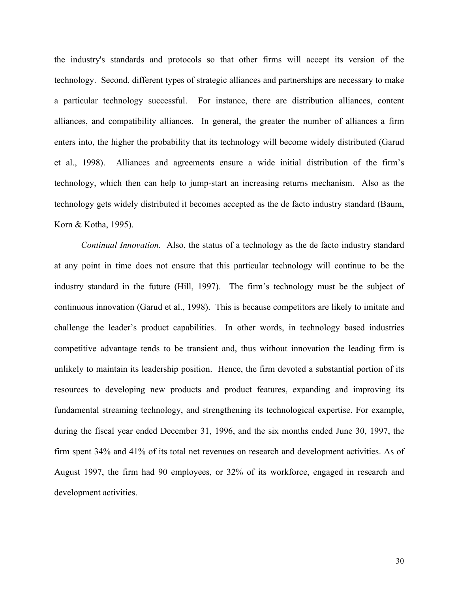the industry's standards and protocols so that other firms will accept its version of the technology. Second, different types of strategic alliances and partnerships are necessary to make a particular technology successful. For instance, there are distribution alliances, content alliances, and compatibility alliances. In general, the greater the number of alliances a firm enters into, the higher the probability that its technology will become widely distributed (Garud et al., 1998). Alliances and agreements ensure a wide initial distribution of the firm's technology, which then can help to jump-start an increasing returns mechanism. Also as the technology gets widely distributed it becomes accepted as the de facto industry standard (Baum, Korn & Kotha, 1995).

*Continual Innovation.* Also, the status of a technology as the de facto industry standard at any point in time does not ensure that this particular technology will continue to be the industry standard in the future (Hill, 1997). The firm's technology must be the subject of continuous innovation (Garud et al., 1998). This is because competitors are likely to imitate and challenge the leader's product capabilities. In other words, in technology based industries competitive advantage tends to be transient and, thus without innovation the leading firm is unlikely to maintain its leadership position. Hence, the firm devoted a substantial portion of its resources to developing new products and product features, expanding and improving its fundamental streaming technology, and strengthening its technological expertise. For example, during the fiscal year ended December 31, 1996, and the six months ended June 30, 1997, the firm spent 34% and 41% of its total net revenues on research and development activities. As of August 1997, the firm had 90 employees, or 32% of its workforce, engaged in research and development activities.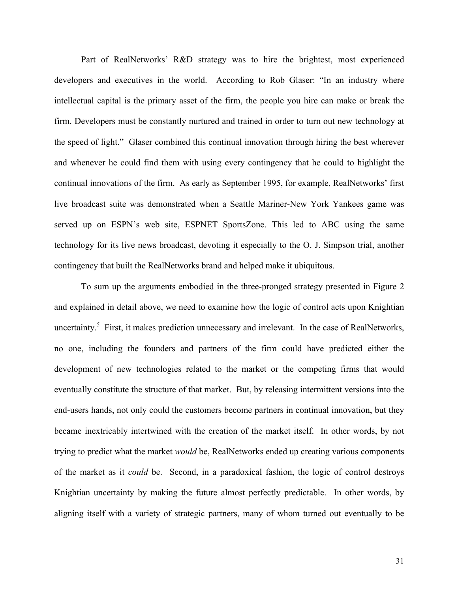Part of RealNetworks' R&D strategy was to hire the brightest, most experienced developers and executives in the world. According to Rob Glaser: "In an industry where intellectual capital is the primary asset of the firm, the people you hire can make or break the firm. Developers must be constantly nurtured and trained in order to turn out new technology at the speed of light." Glaser combined this continual innovation through hiring the best wherever and whenever he could find them with using every contingency that he could to highlight the continual innovations of the firm. As early as September 1995, for example, RealNetworks' first live broadcast suite was demonstrated when a Seattle Mariner-New York Yankees game was served up on ESPN's web site, ESPNET SportsZone. This led to ABC using the same technology for its live news broadcast, devoting it especially to the O. J. Simpson trial, another contingency that built the RealNetworks brand and helped make it ubiquitous.

To sum up the arguments embodied in the three-pronged strategy presented in Figure 2 and explained in detail above, we need to examine how the logic of control acts upon Knightian uncertainty.<sup>5</sup> First, it makes prediction unnecessary and irrelevant. In the case of RealNetworks, no one, including the founders and partners of the firm could have predicted either the development of new technologies related to the market or the competing firms that would eventually constitute the structure of that market. But, by releasing intermittent versions into the end-users hands, not only could the customers become partners in continual innovation, but they became inextricably intertwined with the creation of the market itself. In other words, by not trying to predict what the market *would* be, RealNetworks ended up creating various components of the market as it *could* be. Second, in a paradoxical fashion, the logic of control destroys Knightian uncertainty by making the future almost perfectly predictable. In other words, by aligning itself with a variety of strategic partners, many of whom turned out eventually to be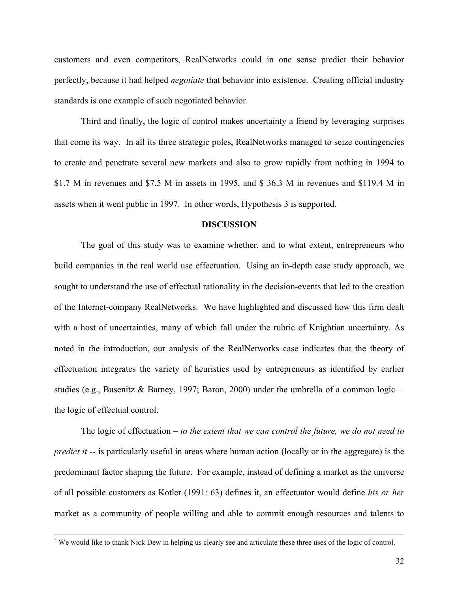customers and even competitors, RealNetworks could in one sense predict their behavior perfectly, because it had helped *negotiate* that behavior into existence. Creating official industry standards is one example of such negotiated behavior.

Third and finally, the logic of control makes uncertainty a friend by leveraging surprises that come its way. In all its three strategic poles, RealNetworks managed to seize contingencies to create and penetrate several new markets and also to grow rapidly from nothing in 1994 to \$1.7 M in revenues and \$7.5 M in assets in 1995, and \$ 36.3 M in revenues and \$119.4 M in assets when it went public in 1997. In other words, Hypothesis 3 is supported.

#### **DISCUSSION**

The goal of this study was to examine whether, and to what extent, entrepreneurs who build companies in the real world use effectuation. Using an in-depth case study approach, we sought to understand the use of effectual rationality in the decision-events that led to the creation of the Internet-company RealNetworks. We have highlighted and discussed how this firm dealt with a host of uncertainties, many of which fall under the rubric of Knightian uncertainty. As noted in the introduction, our analysis of the RealNetworks case indicates that the theory of effectuation integrates the variety of heuristics used by entrepreneurs as identified by earlier studies (e.g., Busenitz & Barney, 1997; Baron, 2000) under the umbrella of a common logic the logic of effectual control.

The logic of effectuation *– to the extent that we can control the future, we do not need to predict it* -- is particularly useful in areas where human action (locally or in the aggregate) is the predominant factor shaping the future. For example, instead of defining a market as the universe of all possible customers as Kotler (1991: 63) defines it, an effectuator would define *his or her* market as a community of people willing and able to commit enough resources and talents to

<sup>&</sup>lt;sup>5</sup> We would like to thank Nick Dew in helping us clearly see and articulate these three uses of the logic of control.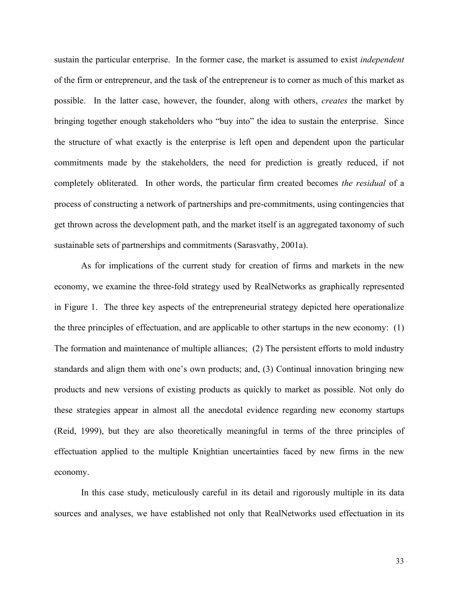sustain the particular enterprise. In the former case, the market is assumed to exist *independent*  of the firm or entrepreneur, and the task of the entrepreneur is to corner as much of this market as possible. In the latter case, however, the founder, along with others, *creates* the market by bringing together enough stakeholders who "buy into" the idea to sustain the enterprise. Since the structure of what exactly is the enterprise is left open and dependent upon the particular commitments made by the stakeholders, the need for prediction is greatly reduced, if not completely obliterated. In other words, the particular firm created becomes *the residual* of a process of constructing a network of partnerships and pre-commitments, using contingencies that get thrown across the development path, and the market itself is an aggregated taxonomy of such sustainable sets of partnerships and commitments (Sarasvathy, 2001a).

As for implications of the current study for creation of firms and markets in the new economy, we examine the three-fold strategy used by RealNetworks as graphically represented in Figure 1. The three key aspects of the entrepreneurial strategy depicted here operationalize the three principles of effectuation, and are applicable to other startups in the new economy: (1) The formation and maintenance of multiple alliances; (2) The persistent efforts to mold industry standards and align them with one's own products; and, (3) Continual innovation bringing new products and new versions of existing products as quickly to market as possible. Not only do these strategies appear in almost all the anecdotal evidence regarding new economy startups (Reid, 1999), but they are also theoretically meaningful in terms of the three principles of effectuation applied to the multiple Knightian uncertainties faced by new firms in the new economy.

In this case study, meticulously careful in its detail and rigorously multiple in its data sources and analyses, we have established not only that RealNetworks used effectuation in its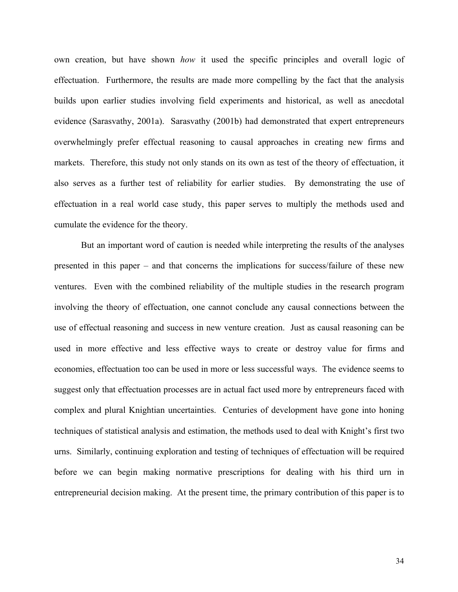own creation, but have shown *how* it used the specific principles and overall logic of effectuation. Furthermore, the results are made more compelling by the fact that the analysis builds upon earlier studies involving field experiments and historical, as well as anecdotal evidence (Sarasvathy, 2001a). Sarasvathy (2001b) had demonstrated that expert entrepreneurs overwhelmingly prefer effectual reasoning to causal approaches in creating new firms and markets. Therefore, this study not only stands on its own as test of the theory of effectuation, it also serves as a further test of reliability for earlier studies. By demonstrating the use of effectuation in a real world case study, this paper serves to multiply the methods used and cumulate the evidence for the theory.

But an important word of caution is needed while interpreting the results of the analyses presented in this paper – and that concerns the implications for success/failure of these new ventures. Even with the combined reliability of the multiple studies in the research program involving the theory of effectuation, one cannot conclude any causal connections between the use of effectual reasoning and success in new venture creation. Just as causal reasoning can be used in more effective and less effective ways to create or destroy value for firms and economies, effectuation too can be used in more or less successful ways. The evidence seems to suggest only that effectuation processes are in actual fact used more by entrepreneurs faced with complex and plural Knightian uncertainties. Centuries of development have gone into honing techniques of statistical analysis and estimation, the methods used to deal with Knight's first two urns. Similarly, continuing exploration and testing of techniques of effectuation will be required before we can begin making normative prescriptions for dealing with his third urn in entrepreneurial decision making. At the present time, the primary contribution of this paper is to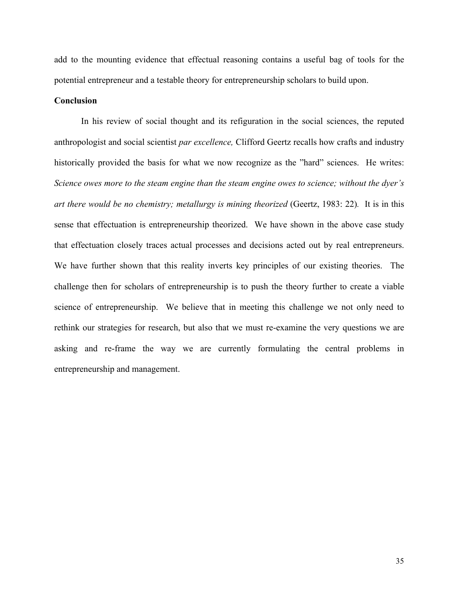add to the mounting evidence that effectual reasoning contains a useful bag of tools for the potential entrepreneur and a testable theory for entrepreneurship scholars to build upon.

#### **Conclusion**

In his review of social thought and its refiguration in the social sciences, the reputed anthropologist and social scientist *par excellence,* Clifford Geertz recalls how crafts and industry historically provided the basis for what we now recognize as the "hard" sciences. He writes: *Science owes more to the steam engine than the steam engine owes to science; without the dyer's art there would be no chemistry; metallurgy is mining theorized* (Geertz, 1983: 22)*.* It is in this sense that effectuation is entrepreneurship theorized. We have shown in the above case study that effectuation closely traces actual processes and decisions acted out by real entrepreneurs. We have further shown that this reality inverts key principles of our existing theories. The challenge then for scholars of entrepreneurship is to push the theory further to create a viable science of entrepreneurship. We believe that in meeting this challenge we not only need to rethink our strategies for research, but also that we must re-examine the very questions we are asking and re-frame the way we are currently formulating the central problems in entrepreneurship and management.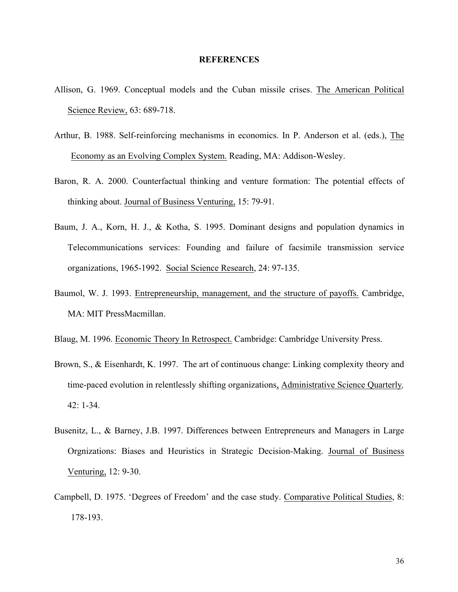#### **REFERENCES**

- Allison, G. 1969. Conceptual models and the Cuban missile crises. The American Political Science Review, 63: 689-718.
- Arthur, B. 1988. Self-reinforcing mechanisms in economics. In P. Anderson et al. (eds.), The Economy as an Evolving Complex System. Reading, MA: Addison-Wesley.
- Baron, R. A. 2000. Counterfactual thinking and venture formation: The potential effects of thinking about. Journal of Business Venturing, 15: 79-91.
- Baum, J. A., Korn, H. J., & Kotha, S. 1995. Dominant designs and population dynamics in Telecommunications services: Founding and failure of facsimile transmission service organizations, 1965-1992. Social Science Research, 24: 97-135.
- Baumol, W. J. 1993. Entrepreneurship, management, and the structure of payoffs. Cambridge, MA: MIT PressMacmillan.
- Blaug, M. 1996. Economic Theory In Retrospect. Cambridge: Cambridge University Press.
- Brown, S., & Eisenhardt, K. 1997. The art of continuous change: Linking complexity theory and time-paced evolution in relentlessly shifting organizations, Administrative Science Quarterly*,*  $42: 1 - 34.$
- Busenitz, L., & Barney, J.B. 1997. Differences between Entrepreneurs and Managers in Large Orgnizations: Biases and Heuristics in Strategic Decision-Making. Journal of Business Venturing, 12: 9-30.
- Campbell, D. 1975. 'Degrees of Freedom' and the case study. Comparative Political Studies, 8: 178-193.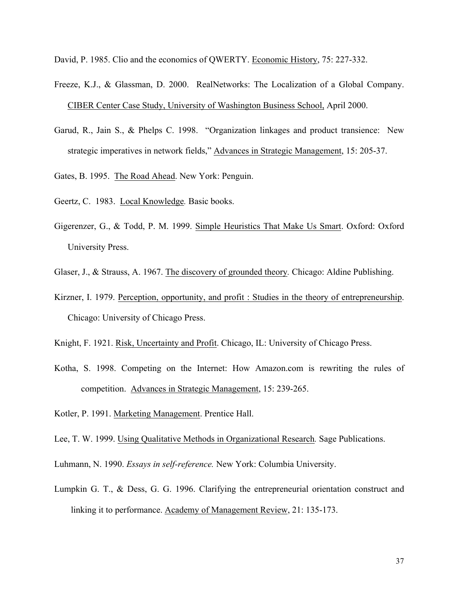David, P. 1985. Clio and the economics of QWERTY. Economic History, 75: 227-332.

- Freeze, K.J., & Glassman, D. 2000. RealNetworks: The Localization of a Global Company. CIBER Center Case Study, University of Washington Business School, April 2000.
- Garud, R., Jain S., & Phelps C. 1998. "Organization linkages and product transience: New strategic imperatives in network fields," Advances in Strategic Management, 15: 205-37.

Gates, B. 1995. The Road Ahead. New York: Penguin.

- Geertz, C. 1983. Local Knowledge*.* Basic books.
- Gigerenzer, G., & Todd, P. M. 1999. Simple Heuristics That Make Us Smart. Oxford: Oxford University Press.
- Glaser, J., & Strauss, A. 1967. The discovery of grounded theory*.* Chicago: Aldine Publishing.
- Kirzner, I. 1979. Perception, opportunity, and profit : Studies in the theory of entrepreneurship. Chicago: University of Chicago Press.
- Knight, F. 1921. Risk, Uncertainty and Profit. Chicago, IL: University of Chicago Press.
- Kotha, S. 1998. Competing on the Internet: How Amazon.com is rewriting the rules of competition. Advances in Strategic Management, 15: 239-265.

Kotler, P. 1991. Marketing Management. Prentice Hall.

Lee, T. W. 1999. Using Qualitative Methods in Organizational Research*.* Sage Publications.

Luhmann, N. 1990. *Essays in self-reference.* New York: Columbia University.

Lumpkin G. T., & Dess, G. G. 1996. Clarifying the entrepreneurial orientation construct and linking it to performance. Academy of Management Review, 21: 135-173.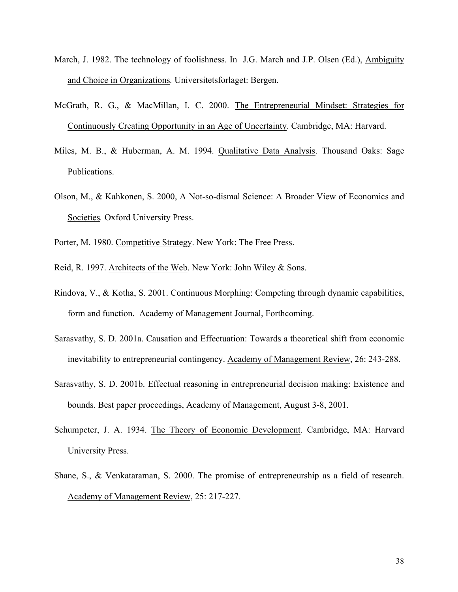- March, J. 1982. The technology of foolishness. In J.G. March and J.P. Olsen (Ed.), Ambiguity and Choice in Organizations*.* Universitetsforlaget: Bergen.
- McGrath, R. G., & MacMillan, I. C. 2000. The Entrepreneurial Mindset: Strategies for Continuously Creating Opportunity in an Age of Uncertainty. Cambridge, MA: Harvard.
- Miles, M. B., & Huberman, A. M. 1994. Qualitative Data Analysis. Thousand Oaks: Sage Publications.
- Olson, M., & Kahkonen, S. 2000, A Not-so-dismal Science: A Broader View of Economics and Societies*.* Oxford University Press.
- Porter, M. 1980. Competitive Strategy. New York: The Free Press.
- Reid, R. 1997. Architects of the Web. New York: John Wiley & Sons.
- Rindova, V., & Kotha, S. 2001. Continuous Morphing: Competing through dynamic capabilities, form and function. Academy of Management Journal, Forthcoming.
- Sarasvathy, S. D. 2001a. Causation and Effectuation: Towards a theoretical shift from economic inevitability to entrepreneurial contingency. Academy of Management Review, 26: 243-288.
- Sarasvathy, S. D. 2001b. Effectual reasoning in entrepreneurial decision making: Existence and bounds. Best paper proceedings, Academy of Management, August 3-8, 2001.
- Schumpeter, J. A. 1934. The Theory of Economic Development. Cambridge, MA: Harvard University Press.
- Shane, S., & Venkataraman, S. 2000. The promise of entrepreneurship as a field of research. Academy of Management Review, 25: 217-227.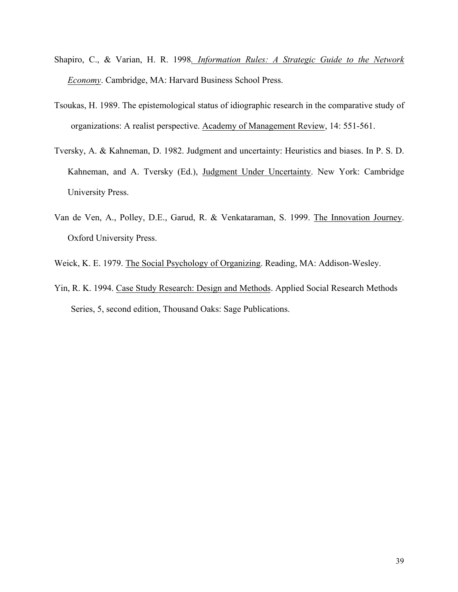- Shapiro, C., & Varian, H. R. 1998*. Information Rules: A Strategic Guide to the Network Economy*. Cambridge, MA: Harvard Business School Press.
- Tsoukas, H. 1989. The epistemological status of idiographic research in the comparative study of organizations: A realist perspective. Academy of Management Review, 14: 551-561.
- Tversky, A. & Kahneman, D. 1982. Judgment and uncertainty: Heuristics and biases. In P. S. D. Kahneman, and A. Tversky (Ed.), Judgment Under Uncertainty. New York: Cambridge University Press.
- Van de Ven, A., Polley, D.E., Garud, R. & Venkataraman, S. 1999. The Innovation Journey. Oxford University Press.
- Weick, K. E. 1979. The Social Psychology of Organizing. Reading, MA: Addison-Wesley.
- Yin, R. K. 1994. Case Study Research: Design and Methods. Applied Social Research Methods Series, 5, second edition, Thousand Oaks: Sage Publications.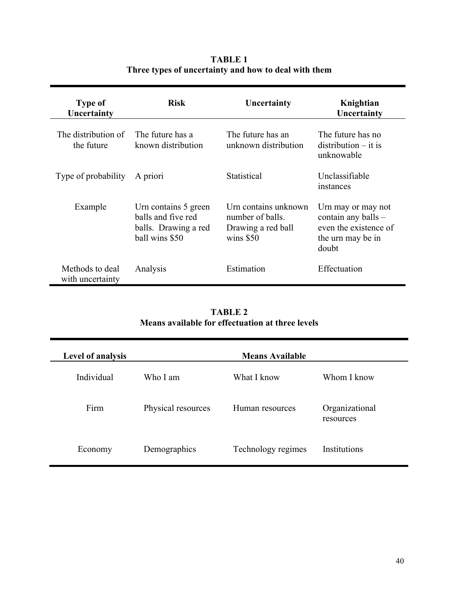| <b>Type of</b><br>Uncertainty       | <b>Risk</b>                                                                          | Uncertainty                                                                 | Knightian<br>Uncertainty                                                                           |
|-------------------------------------|--------------------------------------------------------------------------------------|-----------------------------------------------------------------------------|----------------------------------------------------------------------------------------------------|
| The distribution of<br>the future   | The future has a<br>known distribution                                               | The future has an<br>unknown distribution                                   | The future has no<br>$distribution - it$ is<br>unknowable                                          |
| Type of probability                 | A priori                                                                             | Statistical                                                                 | Unclassifiable<br>instances                                                                        |
| Example                             | Urn contains 5 green<br>balls and five red<br>balls. Drawing a red<br>ball wins \$50 | Urn contains unknown<br>number of balls<br>Drawing a red ball<br>wins $$50$ | Urn may or may not<br>contain any balls $-$<br>even the existence of<br>the urn may be in<br>doubt |
| Methods to deal<br>with uncertainty | Analysis                                                                             | Estimation                                                                  | Effectuation                                                                                       |

# **TABLE 1 Three types of uncertainty and how to deal with them**

# **TABLE 2 Means available for effectuation at three levels**

| Level of analysis |                    | <b>Means Available</b> |                             |
|-------------------|--------------------|------------------------|-----------------------------|
| Individual        | Who I am           | What I know            | Whom I know                 |
| Firm              | Physical resources | Human resources        | Organizational<br>resources |
| Economy           | Demographics       | Technology regimes     | Institutions                |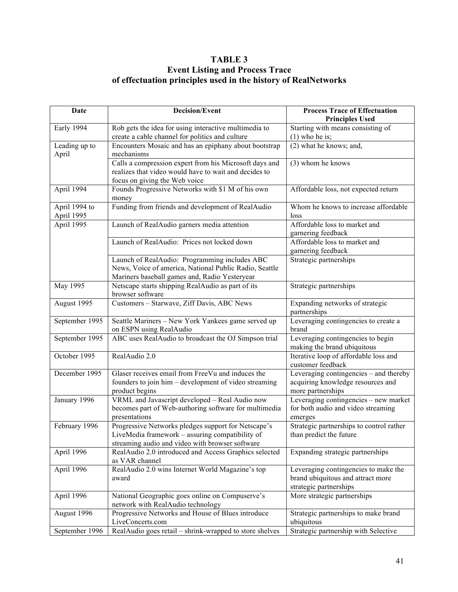## **TABLE 3 Event Listing and Process Trace of effectuation principles used in the history of RealNetworks**

| <b>Date</b>                 | <b>Decision/Event</b>                                                                                                                                     | <b>Process Trace of Effectuation</b>                                                                |
|-----------------------------|-----------------------------------------------------------------------------------------------------------------------------------------------------------|-----------------------------------------------------------------------------------------------------|
|                             |                                                                                                                                                           | <b>Principles Used</b>                                                                              |
| Early 1994                  | Rob gets the idea for using interactive multimedia to                                                                                                     | Starting with means consisting of                                                                   |
|                             | create a cable channel for politics and culture                                                                                                           | $(1)$ who he is;                                                                                    |
| Leading up to<br>April      | Encounters Mosaic and has an epiphany about bootstrap<br>mechanisms                                                                                       | (2) what he knows; and,                                                                             |
|                             | Calls a compression expert from his Microsoft days and<br>realizes that video would have to wait and decides to<br>focus on giving the Web voice          | (3) whom he knows                                                                                   |
| April 1994                  | Founds Progressive Networks with \$1 M of his own<br>money                                                                                                | Affordable loss, not expected return                                                                |
| April 1994 to<br>April 1995 | Funding from friends and development of RealAudio                                                                                                         | Whom he knows to increase affordable<br>loss                                                        |
| April 1995                  | Launch of RealAudio garners media attention                                                                                                               | Affordable loss to market and<br>garnering feedback                                                 |
|                             | Launch of RealAudio: Prices not locked down                                                                                                               | Affordable loss to market and<br>garnering feedback                                                 |
|                             | Launch of RealAudio: Programming includes ABC<br>News, Voice of america, National Public Radio, Seattle<br>Mariners baseball games and, Radio Yesteryear  | Strategic partnerships                                                                              |
| May 1995                    | Netscape starts shipping RealAudio as part of its<br>browser software                                                                                     | Strategic partnerships                                                                              |
| August 1995                 | Customers - Starwave, Ziff Davis, ABC News                                                                                                                | Expanding networks of strategic<br>partnerships                                                     |
| September 1995              | Seattle Mariners - New York Yankees game served up<br>on ESPN using RealAudio                                                                             | Leveraging contingencies to create a<br>brand                                                       |
| September 1995              | ABC uses RealAudio to broadcast the OJ Simpson trial                                                                                                      | Leveraging contingencies to begin<br>making the brand ubiquitous                                    |
| October 1995                | RealAudio 2.0                                                                                                                                             | Iterative loop of affordable loss and<br>customer feedback                                          |
| December 1995               | Glaser receives email from FreeVu and induces the<br>founders to join him – development of video streaming<br>product begins                              | Leveraging contingencies - and thereby<br>acquiring knowledge resources and<br>more partnerships    |
| January 1996                | VRML and Javascript developed - Real Audio now<br>becomes part of Web-authoring software for multimedia<br>presentations                                  | Leveraging contingencies - new market<br>for both audio and video streaming<br>emerges              |
| February 1996               | Progressive Networks pledges support for Netscape's<br>LiveMedia framework - assuring compatibility of<br>streaming audio and video with browser software | Strategic partnerships to control rather<br>than predict the future                                 |
| April 1996                  | RealAudio 2.0 introduced and Access Graphics selected<br>as VAR channel                                                                                   | Expanding strategic partnerships                                                                    |
| April 1996                  | RealAudio 2.0 wins Internet World Magazine's top<br>award                                                                                                 | Leveraging contingencies to make the<br>brand ubiquitous and attract more<br>strategic partnerships |
| April 1996                  | National Geographic goes online on Compuserve's<br>network with RealAudio technology                                                                      | More strategic partnerships                                                                         |
| August 1996                 | Progressive Networks and House of Blues introduce<br>LiveConcerts.com                                                                                     | Strategic partnerships to make brand<br>ubiquitous                                                  |
| September 1996              | RealAudio goes retail - shrink-wrapped to store shelves                                                                                                   | Strategic partnership with Selective                                                                |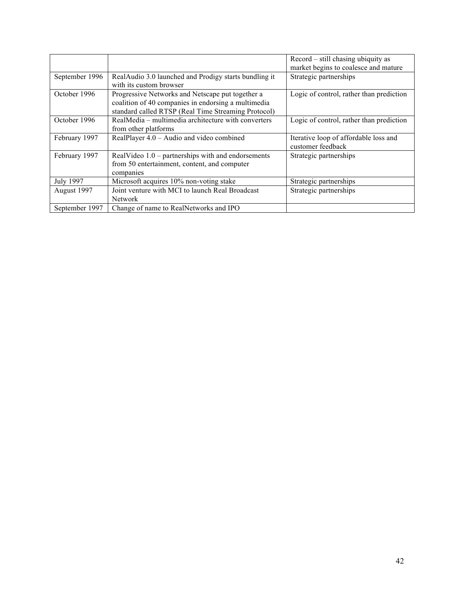|                  |                                                                                                                                                                | Record - still chasing ubiquity as                         |
|------------------|----------------------------------------------------------------------------------------------------------------------------------------------------------------|------------------------------------------------------------|
|                  |                                                                                                                                                                | market begins to coalesce and mature                       |
| September 1996   | RealAudio 3.0 launched and Prodigy starts bundling it<br>with its custom browser                                                                               | Strategic partnerships                                     |
| October 1996     | Progressive Networks and Netscape put together a<br>coalition of 40 companies in endorsing a multimedia<br>standard called RTSP (Real Time Streaming Protocol) | Logic of control, rather than prediction                   |
| October 1996     | RealMedia - multimedia architecture with converters<br>from other platforms                                                                                    | Logic of control, rather than prediction                   |
| February 1997    | RealPlayer 4.0 - Audio and video combined                                                                                                                      | Iterative loop of affordable loss and<br>customer feedback |
| February 1997    | RealVideo $1.0$ – partnerships with and endorsements<br>from 50 entertainment, content, and computer<br>companies                                              | Strategic partnerships                                     |
| <b>July 1997</b> | Microsoft acquires 10% non-voting stake                                                                                                                        | Strategic partnerships                                     |
| August 1997      | Joint venture with MCI to launch Real Broadcast<br><b>Network</b>                                                                                              | Strategic partnerships                                     |
| September 1997   | Change of name to RealNetworks and IPO                                                                                                                         |                                                            |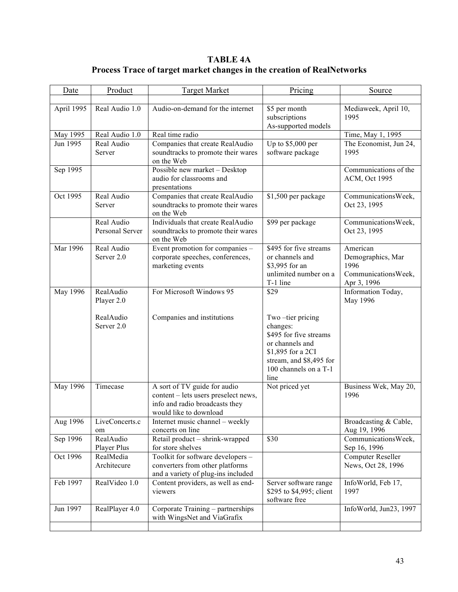**TABLE 4A Process Trace of target market changes in the creation of RealNetworks**

| Date                 | Product                         | <b>Target Market</b>                                                                                                             | Pricing                                                                                                                                                    | Source                                                                      |
|----------------------|---------------------------------|----------------------------------------------------------------------------------------------------------------------------------|------------------------------------------------------------------------------------------------------------------------------------------------------------|-----------------------------------------------------------------------------|
| April 1995           | Real Audio 1.0                  | Audio-on-demand for the internet                                                                                                 | \$5 per month<br>subscriptions<br>As-supported models                                                                                                      | Mediaweek, April 10,<br>1995                                                |
| May 1995<br>Jun 1995 | Real Audio 1.0<br>Real Audio    | Real time radio<br>Companies that create RealAudio                                                                               | Up to \$5,000 per                                                                                                                                          | Time, May 1, 1995<br>The Economist, Jun 24,                                 |
|                      | Server                          | soundtracks to promote their wares<br>on the Web                                                                                 | software package                                                                                                                                           | 1995                                                                        |
| Sep 1995             |                                 | Possible new market - Desktop<br>audio for classrooms and<br>presentations                                                       |                                                                                                                                                            | Communications of the<br>ACM, Oct 1995                                      |
| Oct 1995             | Real Audio<br>Server            | Companies that create RealAudio<br>soundtracks to promote their wares<br>on the Web                                              | \$1,500 per package                                                                                                                                        | Communications Week,<br>Oct 23, 1995                                        |
|                      | Real Audio<br>Personal Server   | Individuals that create RealAudio<br>soundtracks to promote their wares<br>on the Web                                            | \$99 per package                                                                                                                                           | CommunicationsWeek,<br>Oct 23, 1995                                         |
| Mar 1996             | Real Audio<br>Server 2.0        | Event promotion for companies -<br>corporate speeches, conferences,<br>marketing events                                          | \$495 for five streams<br>or channels and<br>\$3,995 for an<br>unlimited number on a<br>T-1 line                                                           | American<br>Demographics, Mar<br>1996<br>CommunicationsWeek,<br>Apr 3, 1996 |
| May 1996             | RealAudio<br>Player 2.0         | For Microsoft Windows 95                                                                                                         | \$29                                                                                                                                                       | Information Today,<br>May 1996                                              |
|                      | RealAudio<br>Server 2.0         | Companies and institutions                                                                                                       | Two-tier pricing<br>changes:<br>\$495 for five streams<br>or channels and<br>\$1,895 for a 2CI<br>stream, and \$8,495 for<br>100 channels on a T-1<br>line |                                                                             |
| May 1996             | Timecase                        | A sort of TV guide for audio<br>content – lets users preselect news,<br>info and radio broadcasts they<br>would like to download | Not priced yet                                                                                                                                             | Business Wek, May 20,<br>1996                                               |
| Aug 1996             | LiveConcerts.c<br>om            | Internet music channel – weekly<br>concerts on line                                                                              |                                                                                                                                                            | Broadcasting & Cable,<br>Aug 19, 1996                                       |
| Sep 1996             | RealAudio<br><b>Player Plus</b> | Retail product - shrink-wrapped<br>for store shelves                                                                             | \$30                                                                                                                                                       | Communications Week,<br>Sep 16, 1996                                        |
| Oct 1996             | RealMedia<br>Architecure        | Toolkit for software developers -<br>converters from other platforms<br>and a variety of plug-ins included                       |                                                                                                                                                            | Computer Reseller<br>News, Oct 28, 1996                                     |
| Feb 1997             | RealVideo 1.0                   | Content providers, as well as end-<br>viewers                                                                                    | Server software range<br>\$295 to \$4,995; client<br>software free                                                                                         | InfoWorld, Feb 17,<br>1997                                                  |
| Jun 1997             | RealPlayer 4.0                  | Corporate Training - partnerships<br>with WingsNet and ViaGrafix                                                                 |                                                                                                                                                            | InfoWorld, Jun23, 1997                                                      |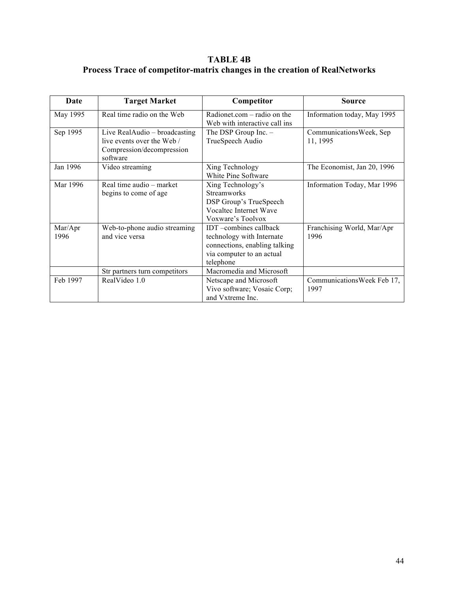# **TABLE 4B Process Trace of competitor-matrix changes in the creation of RealNetworks**

| Date            | <b>Target Market</b>                                                                                 | Competitor                                                                                                                    | Source                               |
|-----------------|------------------------------------------------------------------------------------------------------|-------------------------------------------------------------------------------------------------------------------------------|--------------------------------------|
| May 1995        | Real time radio on the Web                                                                           | Radionet.com – radio on the<br>Web with interactive call ins                                                                  | Information today, May 1995          |
| Sep 1995        | Live RealAudio – broadcasting<br>live events over the Web /<br>Compression/decompression<br>software | The DSP Group Inc. -<br>TrueSpeech Audio                                                                                      | Communications Week, Sep<br>11, 1995 |
| Jan 1996        | Video streaming                                                                                      | Xing Technology<br>White Pine Software                                                                                        | The Economist, Jan 20, 1996          |
| Mar 1996        | Real time audio – market<br>begins to come of age                                                    | Xing Technology's<br><b>Streamworks</b><br>DSP Group's TrueSpeech<br>Vocaltec Internet Wave<br>Voxware's Toolvox              | Information Today, Mar 1996          |
| Mar/Apr<br>1996 | Web-to-phone audio streaming<br>and vice versa                                                       | IDT-combines callback<br>technology with Internate<br>connections, enabling talking<br>via computer to an actual<br>telephone | Franchising World, Mar/Apr<br>1996   |
|                 | Str partners turn competitors                                                                        | Macromedia and Microsoft                                                                                                      |                                      |
| Feb 1997        | RealVideo 1.0                                                                                        | Netscape and Microsoft<br>Vivo software; Vosaic Corp;<br>and Vxtreme Inc.                                                     | Communications Week Feb 17,<br>1997  |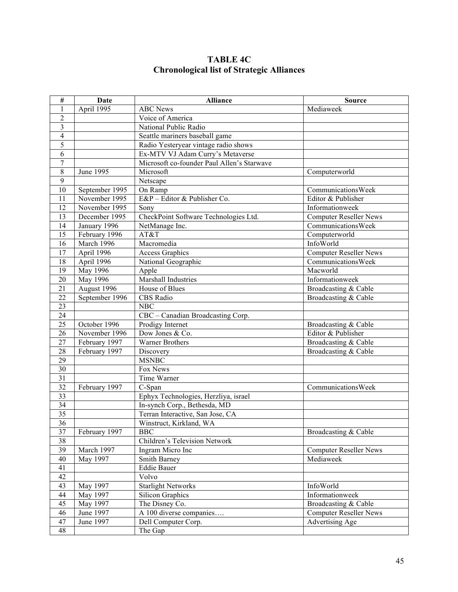# **TABLE 4C Chronological list of Strategic Alliances**

| $\#$           | Date           | <b>Alliance</b>                            | <b>Source</b>                 |
|----------------|----------------|--------------------------------------------|-------------------------------|
| $\mathbf{1}$   | April 1995     | <b>ABC</b> News                            | Mediaweek                     |
| $\overline{c}$ |                | Voice of America                           |                               |
| $\mathfrak{Z}$ |                | National Public Radio                      |                               |
| 4              |                | Seattle mariners baseball game             |                               |
| 5              |                | Radio Yesteryear vintage radio shows       |                               |
| 6              |                | Ex-MTV VJ Adam Curry's Metaverse           |                               |
| $\overline{7}$ |                | Microsoft co-founder Paul Allen's Starwave |                               |
| $\,$ 8 $\,$    | June 1995      | Microsoft                                  | Computerworld                 |
| 9              |                | Netscape                                   |                               |
| 10             | September 1995 | On Ramp                                    | CommunicationsWeek            |
| 11             | November 1995  | E&P - Editor & Publisher Co.               | Editor & Publisher            |
| 12             | November 1995  | Sony                                       | Informationweek               |
| 13             | December 1995  | CheckPoint Software Technologies Ltd.      | <b>Computer Reseller News</b> |
| 14             | January 1996   | NetManage Inc.                             | CommunicationsWeek            |
| 15             | February 1996  | AT&T                                       | Computerworld                 |
| 16             | March 1996     | Macromedia                                 | InfoWorld                     |
| 17             | April 1996     | <b>Access Graphics</b>                     | <b>Computer Reseller News</b> |
| 18             | April 1996     | National Geographic                        | CommunicationsWeek            |
| 19             | May 1996       | Apple                                      | Macworld                      |
| 20             | May 1996       | Marshall Industries                        | Informationweek               |
| 21             | August 1996    | House of Blues                             | Broadcasting & Cable          |
| 22             | September 1996 | <b>CBS</b> Radio                           | Broadcasting & Cable          |
| 23             |                | NBC                                        |                               |
| 24             |                | CBC - Canadian Broadcasting Corp.          |                               |
| 25             | October 1996   | <b>Prodigy Internet</b>                    | Broadcasting & Cable          |
| 26             | November 1996  | Dow Jones & Co.                            | Editor & Publisher            |
| 27             | February 1997  | <b>Warner Brothers</b>                     | Broadcasting & Cable          |
| 28             | February 1997  | Discovery                                  | Broadcasting & Cable          |
| 29             |                | <b>MSNBC</b>                               |                               |
| 30             |                | Fox News                                   |                               |
| 31             |                | <b>Time Warner</b>                         |                               |
| 32             | February 1997  | C-Span                                     | CommunicationsWeek            |
| 33             |                | Ephyx Technologies, Herzliya, israel       |                               |
| 34             |                | In-synch Corp., Bethesda, MD               |                               |
| 35             |                | Terran Interactive, San Jose, CA           |                               |
| 36             |                | Winstruct, Kirkland, WA                    |                               |
| 37             | February 1997  | <b>BBC</b>                                 | Broadcasting & Cable          |
| 38             |                | Children's Television Network              |                               |
| 39             | March 1997     | Ingram Micro Inc                           | <b>Computer Reseller News</b> |
| 40             | May 1997       | Smith Barney                               | Mediaweek                     |
| 41             |                | <b>Eddie Bauer</b>                         |                               |
| 42             |                | Volvo                                      |                               |
| 43             | May 1997       | <b>Starlight Networks</b>                  | InfoWorld                     |
| 44             | May 1997       | <b>Silicon Graphics</b>                    | Informationweek               |
| 45             | May 1997       | The Disney Co.                             | Broadcasting & Cable          |
| 46             | June 1997      | A 100 diverse companies                    | <b>Computer Reseller News</b> |
| 47             | June 1997      | Dell Computer Corp.                        | Advertising Age               |
| 48             |                | The Gap                                    |                               |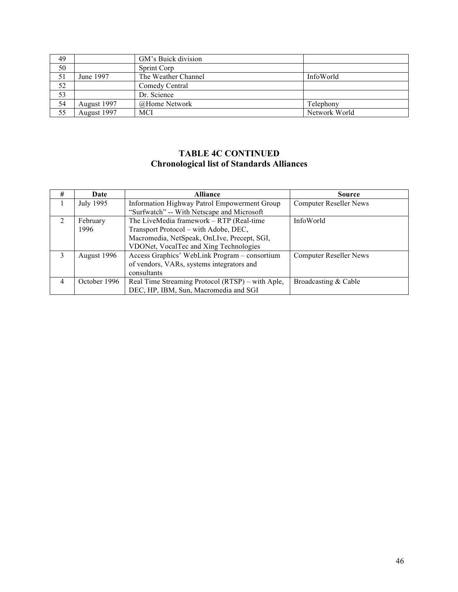| 49 |             | GM's Buick division |               |
|----|-------------|---------------------|---------------|
| 50 |             | Sprint Corp         |               |
| 51 | June 1997   | The Weather Channel | InfoWorld     |
| 52 |             | Comedy Central      |               |
| 53 |             | Dr. Science         |               |
| 54 | August 1997 | @Home Network       | Telephony     |
| 55 | August 1997 | MCI                 | Network World |

## **TABLE 4C CONTINUED Chronological list of Standards Alliances**

| #              | Date         | <b>Alliance</b>                                  | Source                        |
|----------------|--------------|--------------------------------------------------|-------------------------------|
|                | July 1995    | Information Highway Patrol Empowerment Group     | <b>Computer Reseller News</b> |
|                |              | "Surfwatch" -- With Netscape and Microsoft       |                               |
| $\mathfrak{D}$ | February     | The LiveMedia framework - RTP (Real-time         | InfoWorld                     |
|                | 1996         | Transport Protocol – with Adobe, DEC,            |                               |
|                |              | Macromedia, NetSpeak, OnLIve, Precept, SGI,      |                               |
|                |              | VDONet, VocalTec and Xing Technologies           |                               |
| 3              | August 1996  | Access Graphics' WebLink Program – consortium    | <b>Computer Reseller News</b> |
|                |              | of vendors, VARs, systems integrators and        |                               |
|                |              | consultants                                      |                               |
| 4              | October 1996 | Real Time Streaming Protocol (RTSP) – with Aple, | Broadcasting & Cable          |
|                |              | DEC, HP, IBM, Sun, Macromedia and SGI            |                               |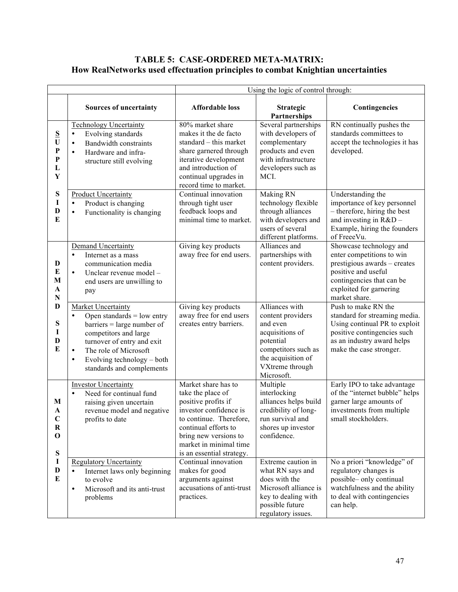# **TABLE 5: CASE-ORDERED META-MATRIX: How RealNetworks used effectuation principles to combat Knightian uncertainties**

|                                                                                 |                                                                                                                                                                                                                                                                             | Using the logic of control through:                                                                                                                                                                                          |                                                                                                                                                               |                                                                                                                                                                                      |  |
|---------------------------------------------------------------------------------|-----------------------------------------------------------------------------------------------------------------------------------------------------------------------------------------------------------------------------------------------------------------------------|------------------------------------------------------------------------------------------------------------------------------------------------------------------------------------------------------------------------------|---------------------------------------------------------------------------------------------------------------------------------------------------------------|--------------------------------------------------------------------------------------------------------------------------------------------------------------------------------------|--|
|                                                                                 | Sources of uncertainty                                                                                                                                                                                                                                                      | <b>Affordable loss</b>                                                                                                                                                                                                       | <b>Strategic</b><br>Partnerships                                                                                                                              | Contingencies                                                                                                                                                                        |  |
| $\underline{\mathbf{S}}$<br>U<br>$\mathbf P$<br>$\mathbf P$<br>L<br>$\mathbf Y$ | <b>Technology Uncertainty</b><br>Evolving standards<br>$\bullet$<br><b>Bandwidth constraints</b><br>$\bullet$<br>Hardware and infra-<br>$\bullet$<br>structure still evolving                                                                                               | 80% market share<br>makes it the de facto<br>standard – this market<br>share garnered through<br>iterative development<br>and introduction of<br>continual upgrades in<br>record time to market.                             | Several partnerships<br>with developers of<br>complementary<br>products and even<br>with infrastructure<br>developers such as<br>MCI.                         | RN continually pushes the<br>standards committees to<br>accept the technologies it has<br>developed.                                                                                 |  |
| S<br>1<br>D<br>$\bf E$                                                          | <b>Product Uncertainty</b><br>Product is changing<br>$\bullet$<br>Functionality is changing<br>$\bullet$                                                                                                                                                                    | Continual innovation<br>through tight user<br>feedback loops and<br>minimal time to market.                                                                                                                                  | Making RN<br>technology flexible<br>through alliances<br>with developers and<br>users of several<br>different platforms.                                      | Understanding the<br>importance of key personnel<br>- therefore, hiring the best<br>and investing in $R&D$ –<br>Example, hiring the founders<br>of FreeeVu.                          |  |
| D<br>E<br>M<br>A<br>${\bf N}$                                                   | Demand Uncertainty<br>$\bullet$<br>Internet as a mass<br>communication media<br>$\bullet$<br>Unclear revenue model -<br>end users are unwilling to<br>pay                                                                                                                   | Giving key products<br>away free for end users.                                                                                                                                                                              | Alliances and<br>partnerships with<br>content providers.                                                                                                      | Showcase technology and<br>enter competitions to win<br>prestigious awards - creates<br>positive and useful<br>contingencies that can be<br>exploited for garnering<br>market share. |  |
| D<br>${\bf S}$<br>I<br>D<br>E                                                   | <b>Market Uncertainty</b><br>Open standards $=$ low entry<br>$\bullet$<br>$barriers = large number of$<br>competitors and large<br>turnover of entry and exit<br>The role of Microsoft<br>$\bullet$<br>Evolving technology - both<br>$\bullet$<br>standards and complements | Giving key products<br>away free for end users<br>creates entry barriers.                                                                                                                                                    | Alliances with<br>content providers<br>and even<br>acquisitions of<br>potential<br>competitors such as<br>the acquisition of<br>VXtreme through<br>Microsoft. | Push to make RN the<br>standard for streaming media.<br>Using continual PR to exploit<br>positive contingencies such<br>as an industry award helps<br>make the case stronger.        |  |
| M<br>A<br>$\mathbf C$<br>$\bf R$<br>$\mathbf 0$<br>${\bf S}$                    | <b>Investor Uncertainty</b><br>$\bullet$<br>Need for continual fund<br>raising given uncertain<br>revenue model and negative<br>profits to date                                                                                                                             | Market share has to<br>take the place of<br>positive profits if<br>investor confidence is<br>to continue. Therefore.<br>continual efforts to<br>bring new versions to<br>market in minimal time<br>is an essential strategy. | Multiple<br>interlocking<br>alliances helps build<br>credibility of long-<br>run survival and<br>shores up investor<br>confidence.                            | Early IPO to take advantage<br>of the "internet bubble" helps<br>garner large amounts of<br>investments from multiple<br>small stockholders.                                         |  |
| 1<br>D<br>E                                                                     | <b>Regulatory Uncertainty</b><br>Internet laws only beginning<br>to evolve<br>Microsoft and its anti-trust<br>$\bullet$<br>problems                                                                                                                                         | Continual innovation<br>makes for good<br>arguments against<br>accusations of anti-trust<br>practices.                                                                                                                       | Extreme caution in<br>what RN says and<br>does with the<br>Microsoft alliance is<br>key to dealing with<br>possible future<br>regulatory issues.              | No a priori "knowledge" of<br>regulatory changes is<br>possible- only continual<br>watchfulness and the ability<br>to deal with contingencies<br>can help.                           |  |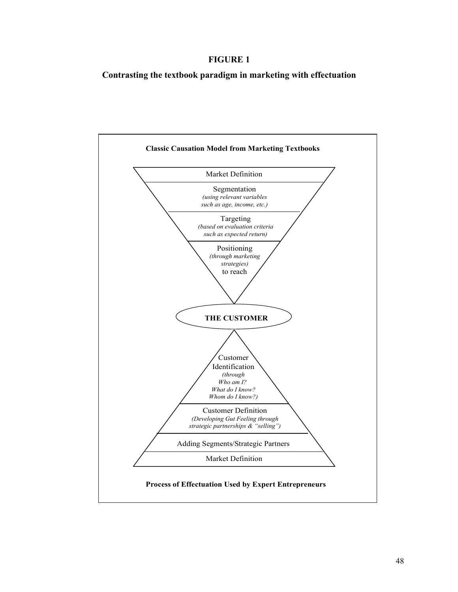## **FIGURE 1**

**Contrasting the textbook paradigm in marketing with effectuation**